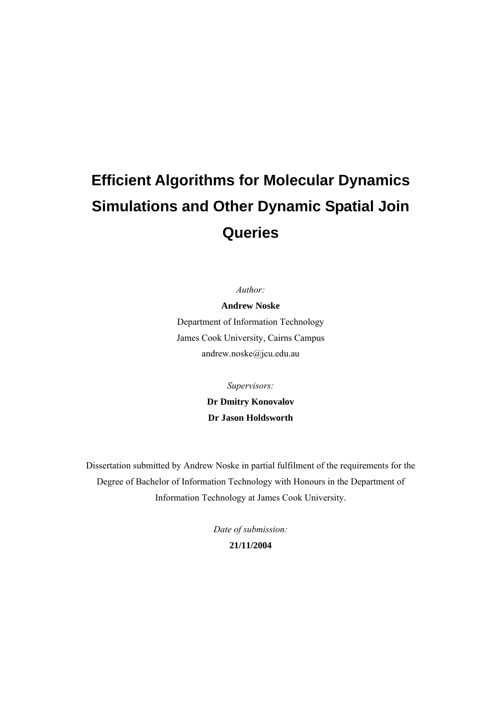# **Efficient Algorithms for Molecular Dynamics Simulations and Other Dynamic Spatial Join Queries**

*Author:* 

**Andrew Noske**  Department of Information Technology James Cook University, Cairns Campus andrew.noske@jcu.edu.au

*Supervisors:* 

**Dr Dmitry Konovalov Dr Jason Holdsworth** 

Dissertation submitted by Andrew Noske in partial fulfilment of the requirements for the Degree of Bachelor of Information Technology with Honours in the Department of Information Technology at James Cook University.

> *Date of submission:*  **21/11/2004**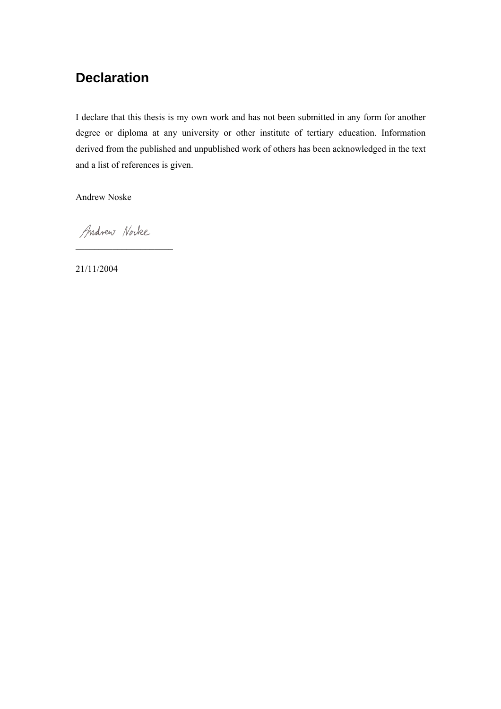## **Declaration**

I declare that this thesis is my own work and has not been submitted in any form for another degree or diploma at any university or other institute of tertiary education. Information derived from the published and unpublished work of others has been acknowledged in the text and a list of references is given.

Andrew Noske

Andrew Norke

¯¯¯¯¯¯¯¯¯¯¯¯¯¯¯¯¯¯¯¯¯

21/11/2004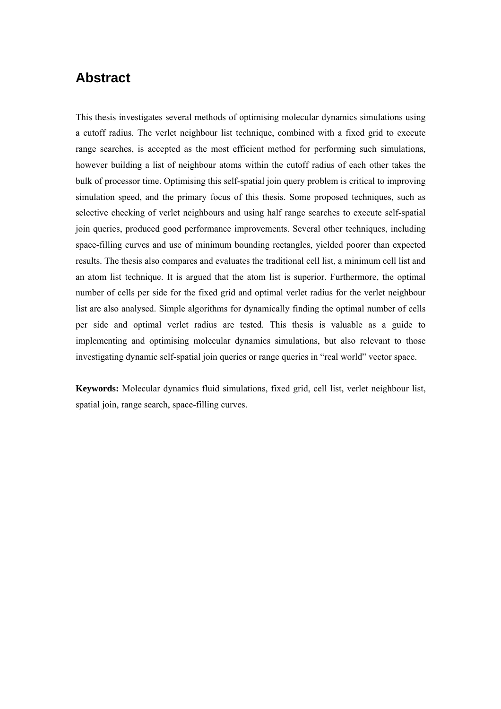## **Abstract**

This thesis investigates several methods of optimising molecular dynamics simulations using a cutoff radius. The verlet neighbour list technique, combined with a fixed grid to execute range searches, is accepted as the most efficient method for performing such simulations, however building a list of neighbour atoms within the cutoff radius of each other takes the bulk of processor time. Optimising this self-spatial join query problem is critical to improving simulation speed, and the primary focus of this thesis. Some proposed techniques, such as selective checking of verlet neighbours and using half range searches to execute self-spatial join queries, produced good performance improvements. Several other techniques, including space-filling curves and use of minimum bounding rectangles, yielded poorer than expected results. The thesis also compares and evaluates the traditional cell list, a minimum cell list and an atom list technique. It is argued that the atom list is superior. Furthermore, the optimal number of cells per side for the fixed grid and optimal verlet radius for the verlet neighbour list are also analysed. Simple algorithms for dynamically finding the optimal number of cells per side and optimal verlet radius are tested. This thesis is valuable as a guide to implementing and optimising molecular dynamics simulations, but also relevant to those investigating dynamic self-spatial join queries or range queries in "real world" vector space.

**Keywords:** Molecular dynamics fluid simulations, fixed grid, cell list, verlet neighbour list, spatial join, range search, space-filling curves.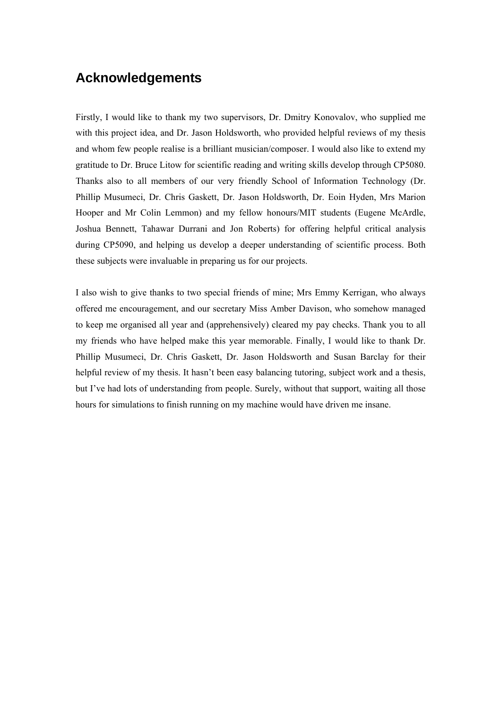## **Acknowledgements**

Firstly, I would like to thank my two supervisors, Dr. Dmitry Konovalov, who supplied me with this project idea, and Dr. Jason Holdsworth, who provided helpful reviews of my thesis and whom few people realise is a brilliant musician/composer. I would also like to extend my gratitude to Dr. Bruce Litow for scientific reading and writing skills develop through CP5080. Thanks also to all members of our very friendly School of Information Technology (Dr. Phillip Musumeci, Dr. Chris Gaskett, Dr. Jason Holdsworth, Dr. Eoin Hyden, Mrs Marion Hooper and Mr Colin Lemmon) and my fellow honours/MIT students (Eugene McArdle, Joshua Bennett, Tahawar Durrani and Jon Roberts) for offering helpful critical analysis during CP5090, and helping us develop a deeper understanding of scientific process. Both these subjects were invaluable in preparing us for our projects.

I also wish to give thanks to two special friends of mine; Mrs Emmy Kerrigan, who always offered me encouragement, and our secretary Miss Amber Davison, who somehow managed to keep me organised all year and (apprehensively) cleared my pay checks. Thank you to all my friends who have helped make this year memorable. Finally, I would like to thank Dr. Phillip Musumeci, Dr. Chris Gaskett, Dr. Jason Holdsworth and Susan Barclay for their helpful review of my thesis. It hasn't been easy balancing tutoring, subject work and a thesis, but I've had lots of understanding from people. Surely, without that support, waiting all those hours for simulations to finish running on my machine would have driven me insane.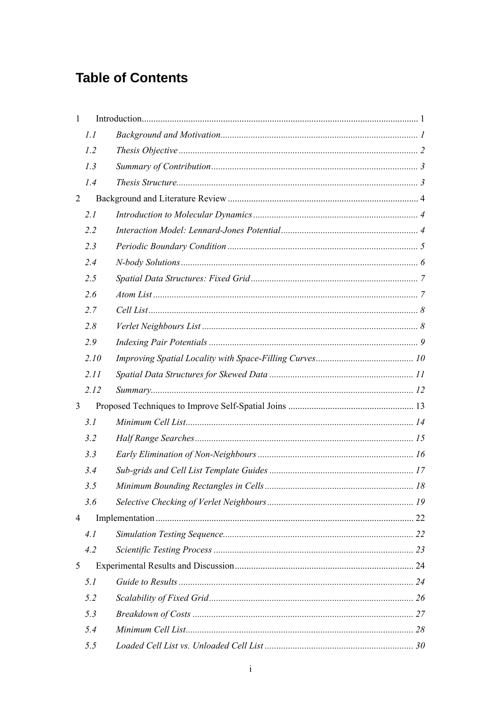## **Table of Contents**

| $\mathbf{1}$   |      |  |
|----------------|------|--|
|                | 1.1  |  |
|                | 1.2  |  |
|                | 1.3  |  |
|                | 1.4  |  |
| $\overline{2}$ |      |  |
|                | 2.1  |  |
|                | 2.2  |  |
|                | 2.3  |  |
|                | 2.4  |  |
|                | 2.5  |  |
|                | 2.6  |  |
|                | 2.7  |  |
|                | 2.8  |  |
|                | 2.9  |  |
|                | 2.10 |  |
|                | 2.11 |  |
|                | 2.12 |  |
| 3              |      |  |
|                | 3.1  |  |
|                | 3.2  |  |
|                | 3.3  |  |
|                | 3.4  |  |
|                | 3.5  |  |
|                | 3.6  |  |
| 4              |      |  |
|                | 4.1  |  |
|                | 4.2  |  |
| 5              |      |  |
|                | 5.1  |  |
|                | 5.2  |  |
|                | 5.3  |  |
|                | 5.4  |  |
|                | 5.5  |  |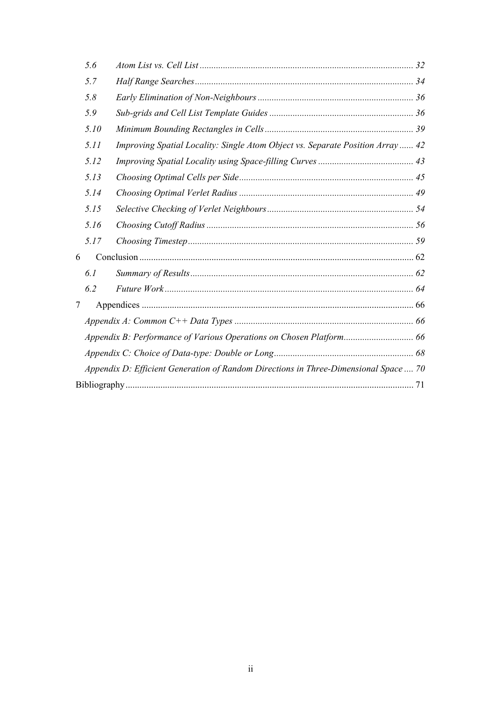|   | 5.6  |                                                                                      |  |
|---|------|--------------------------------------------------------------------------------------|--|
|   | 5.7  |                                                                                      |  |
|   | 5.8  |                                                                                      |  |
|   | 5.9  |                                                                                      |  |
|   | 5.10 |                                                                                      |  |
|   | 5.11 | Improving Spatial Locality: Single Atom Object vs. Separate Position Array 42        |  |
|   | 5.12 |                                                                                      |  |
|   | 5.13 |                                                                                      |  |
|   | 5.14 |                                                                                      |  |
|   | 5.15 |                                                                                      |  |
|   | 5.16 |                                                                                      |  |
|   | 5.17 |                                                                                      |  |
| 6 |      |                                                                                      |  |
|   | 6.1  |                                                                                      |  |
|   | 6.2  |                                                                                      |  |
| 7 |      |                                                                                      |  |
|   |      |                                                                                      |  |
|   |      |                                                                                      |  |
|   |      |                                                                                      |  |
|   |      | Appendix D: Efficient Generation of Random Directions in Three-Dimensional Space  70 |  |
|   |      |                                                                                      |  |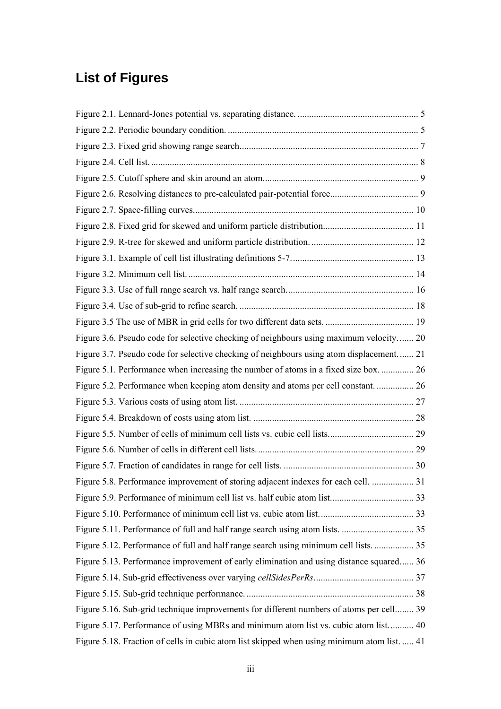## **List of Figures**

| Figure 3.6. Pseudo code for selective checking of neighbours using maximum velocity 20      |  |
|---------------------------------------------------------------------------------------------|--|
| Figure 3.7. Pseudo code for selective checking of neighbours using atom displacement 21     |  |
| Figure 5.1. Performance when increasing the number of atoms in a fixed size box.  26        |  |
| Figure 5.2. Performance when keeping atom density and atoms per cell constant.  26          |  |
|                                                                                             |  |
|                                                                                             |  |
|                                                                                             |  |
|                                                                                             |  |
|                                                                                             |  |
| Figure 5.8. Performance improvement of storing adjacent indexes for each cell.  31          |  |
|                                                                                             |  |
|                                                                                             |  |
|                                                                                             |  |
| Figure 5.12. Performance of full and half range search using minimum cell lists 35          |  |
| Figure 5.13. Performance improvement of early elimination and using distance squared 36     |  |
|                                                                                             |  |
|                                                                                             |  |
| Figure 5.16. Sub-grid technique improvements for different numbers of atoms per cell 39     |  |
| Figure 5.17. Performance of using MBRs and minimum atom list vs. cubic atom list 40         |  |
| Figure 5.18. Fraction of cells in cubic atom list skipped when using minimum atom list.  41 |  |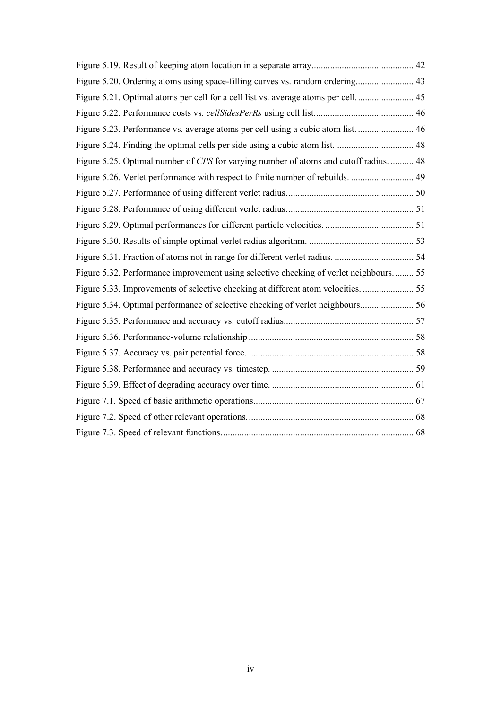| Figure 5.20. Ordering atoms using space-filling curves vs. random ordering 43         |  |
|---------------------------------------------------------------------------------------|--|
| Figure 5.21. Optimal atoms per cell for a cell list vs. average atoms per cell 45     |  |
|                                                                                       |  |
| Figure 5.23. Performance vs. average atoms per cell using a cubic atom list 46        |  |
| Figure 5.24. Finding the optimal cells per side using a cubic atom list.  48          |  |
| Figure 5.25. Optimal number of CPS for varying number of atoms and cutoff radius.  48 |  |
|                                                                                       |  |
|                                                                                       |  |
|                                                                                       |  |
|                                                                                       |  |
|                                                                                       |  |
|                                                                                       |  |
| Figure 5.32. Performance improvement using selective checking of verlet neighbours 55 |  |
|                                                                                       |  |
| Figure 5.34. Optimal performance of selective checking of verlet neighbours 56        |  |
|                                                                                       |  |
|                                                                                       |  |
|                                                                                       |  |
|                                                                                       |  |
|                                                                                       |  |
|                                                                                       |  |
|                                                                                       |  |
|                                                                                       |  |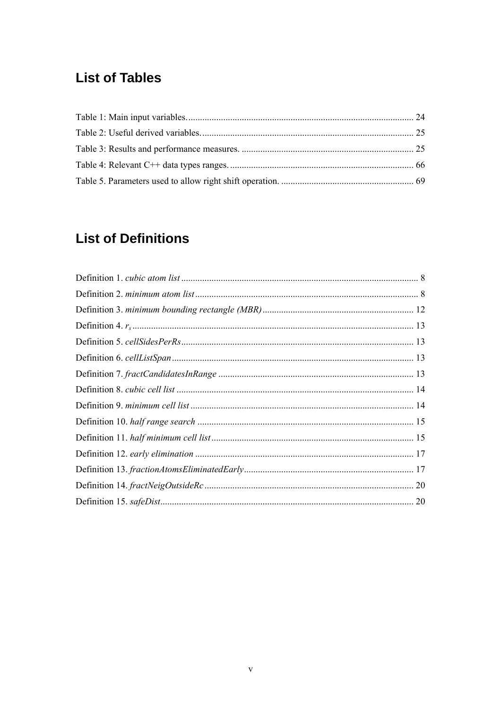## **List of Tables**

## **List of Definitions**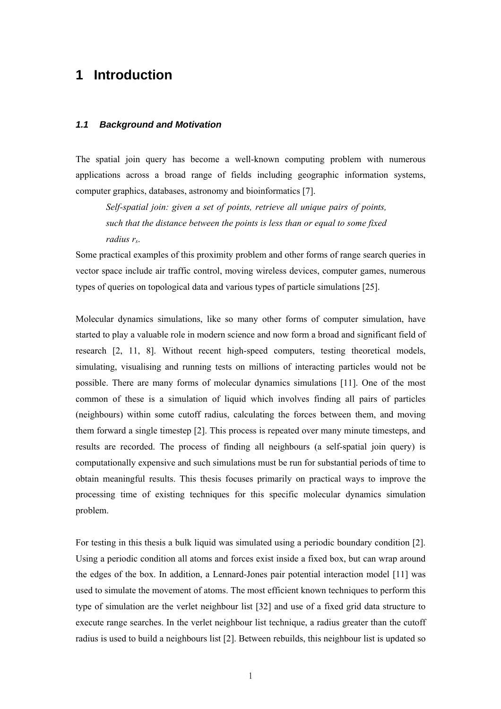### <span id="page-9-0"></span>**1 Introduction**

#### <span id="page-9-1"></span>*1.1 Background and Motivation*

The spatial join query has become a well-known computing problem with numerous applications across a broad range of fields including geographic information systems, computer graphics, databases, astronomy and bioinformatics [7].

*Self-spatial join: given a set of points, retrieve all unique pairs of points, such that the distance between the points is less than or equal to some fixed radius rs*.

Some practical examples of this proximity problem and other forms of range search queries in vector space include air traffic control, moving wireless devices, computer games, numerous types of queries on topological data and various types of particle simulations [25].

Molecular dynamics simulations, like so many other forms of computer simulation, have started to play a valuable role in modern science and now form a broad and significant field of research [2, 11, 8]. Without recent high-speed computers, testing theoretical models, simulating, visualising and running tests on millions of interacting particles would not be possible. There are many forms of molecular dynamics simulations [11]. One of the most common of these is a simulation of liquid which involves finding all pairs of particles (neighbours) within some cutoff radius, calculating the forces between them, and moving them forward a single timestep [2]. This process is repeated over many minute timesteps, and results are recorded. The process of finding all neighbours (a self-spatial join query) is computationally expensive and such simulations must be run for substantial periods of time to obtain meaningful results. This thesis focuses primarily on practical ways to improve the processing time of existing techniques for this specific molecular dynamics simulation problem.

For testing in this thesis a bulk liquid was simulated using a periodic boundary condition [2]. Using a periodic condition all atoms and forces exist inside a fixed box, but can wrap around the edges of the box. In addition, a Lennard-Jones pair potential interaction model [11] was used to simulate the movement of atoms. The most efficient known techniques to perform this type of simulation are the verlet neighbour list [32] and use of a fixed grid data structure to execute range searches. In the verlet neighbour list technique, a radius greater than the cutoff radius is used to build a neighbours list [2]. Between rebuilds, this neighbour list is updated so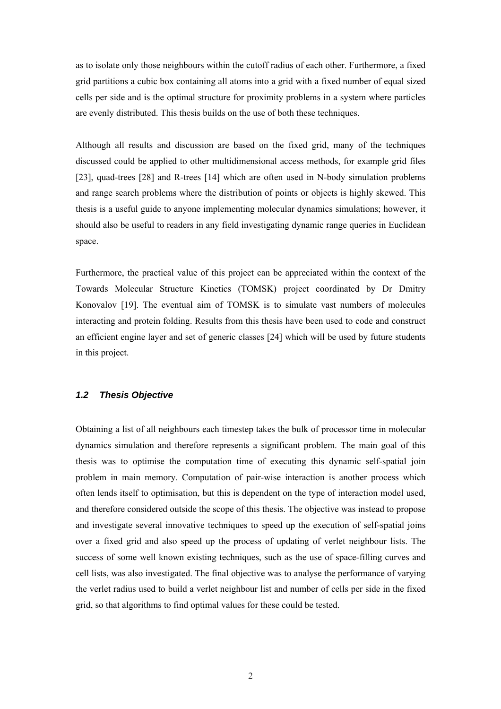as to isolate only those neighbours within the cutoff radius of each other. Furthermore, a fixed grid partitions a cubic box containing all atoms into a grid with a fixed number of equal sized cells per side and is the optimal structure for proximity problems in a system where particles are evenly distributed. This thesis builds on the use of both these techniques.

Although all results and discussion are based on the fixed grid, many of the techniques discussed could be applied to other multidimensional access methods, for example grid files [23], quad-trees [28] and R-trees [14] which are often used in N-body simulation problems and range search problems where the distribution of points or objects is highly skewed. This thesis is a useful guide to anyone implementing molecular dynamics simulations; however, it should also be useful to readers in any field investigating dynamic range queries in Euclidean space.

Furthermore, the practical value of this project can be appreciated within the context of the Towards Molecular Structure Kinetics (TOMSK) project coordinated by Dr Dmitry Konovalov [19]. The eventual aim of TOMSK is to simulate vast numbers of molecules interacting and protein folding. Results from this thesis have been used to code and construct an efficient engine layer and set of generic classes [24] which will be used by future students in this project.

#### <span id="page-10-0"></span>*1.2 Thesis Objective*

Obtaining a list of all neighbours each timestep takes the bulk of processor time in molecular dynamics simulation and therefore represents a significant problem. The main goal of this thesis was to optimise the computation time of executing this dynamic self-spatial join problem in main memory. Computation of pair-wise interaction is another process which often lends itself to optimisation, but this is dependent on the type of interaction model used, and therefore considered outside the scope of this thesis. The objective was instead to propose and investigate several innovative techniques to speed up the execution of self-spatial joins over a fixed grid and also speed up the process of updating of verlet neighbour lists. The success of some well known existing techniques, such as the use of space-filling curves and cell lists, was also investigated. The final objective was to analyse the performance of varying the verlet radius used to build a verlet neighbour list and number of cells per side in the fixed grid, so that algorithms to find optimal values for these could be tested.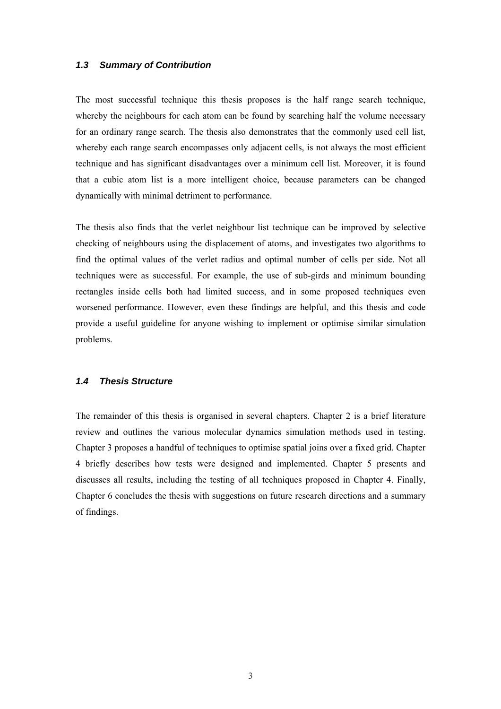#### <span id="page-11-0"></span>*1.3 Summary of Contribution*

The most successful technique this thesis proposes is the half range search technique, whereby the neighbours for each atom can be found by searching half the volume necessary for an ordinary range search. The thesis also demonstrates that the commonly used cell list, whereby each range search encompasses only adjacent cells, is not always the most efficient technique and has significant disadvantages over a minimum cell list. Moreover, it is found that a cubic atom list is a more intelligent choice, because parameters can be changed dynamically with minimal detriment to performance.

The thesis also finds that the verlet neighbour list technique can be improved by selective checking of neighbours using the displacement of atoms, and investigates two algorithms to find the optimal values of the verlet radius and optimal number of cells per side. Not all techniques were as successful. For example, the use of sub-girds and minimum bounding rectangles inside cells both had limited success, and in some proposed techniques even worsened performance. However, even these findings are helpful, and this thesis and code provide a useful guideline for anyone wishing to implement or optimise similar simulation problems.

#### <span id="page-11-1"></span>*1.4 Thesis Structure*

The remainder of this thesis is organised in several chapters. Chapter [2](#page-12-3) is a brief literature review and outlines the various molecular dynamics simulation methods used in testing. Chapter [3](#page-21-6) proposes a handful of techniques to optimise spatial joins over a fixed grid. Chapter [4](#page-30-2) briefly describes how tests were designed and implemented. Chapter [5](#page-32-3) presents and discusses all results, including the testing of all techniques proposed in Chapter [4.](#page-30-2) Finally, Chapter [6 c](#page-70-2)oncludes the thesis with suggestions on future research directions and a summary of findings.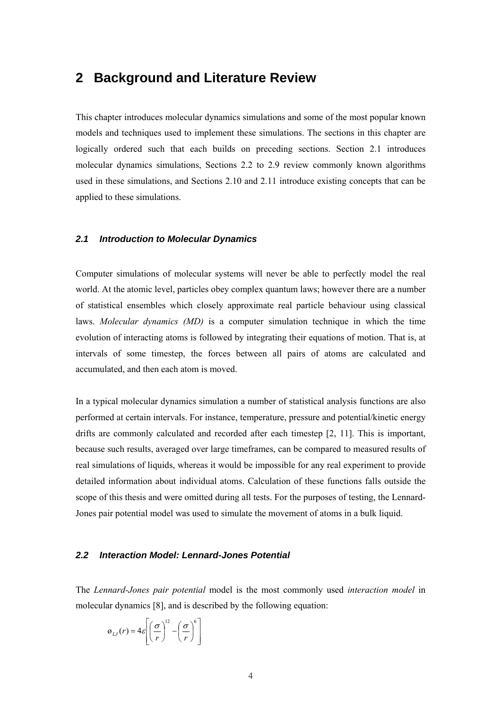### <span id="page-12-0"></span>**2 Background and Literature Review**

This chapter introduces molecular dynamics simulations and some of the most popular known models and techniques used to implement these simulations. The sections in this chapter are logically ordered such that each builds on preceding sections. Section [2.1](#page-12-1) introduces molecular dynamics simulations, Sections [2.2](#page-12-2) to [2.9](#page-17-0) review commonly known algorithms used in these simulations, and Sections [2.10](#page-18-0) and [2.11](#page-19-0) introduce existing concepts that can be applied to these simulations.

#### <span id="page-12-1"></span>*2.1 Introduction to Molecular Dynamics*

Computer simulations of molecular systems will never be able to perfectly model the real world. At the atomic level, particles obey complex quantum laws; however there are a number of statistical ensembles which closely approximate real particle behaviour using classical laws. *Molecular dynamics (MD)* is a computer simulation technique in which the time evolution of interacting atoms is followed by integrating their equations of motion. That is, at intervals of some timestep, the forces between all pairs of atoms are calculated and accumulated, and then each atom is moved.

In a typical molecular dynamics simulation a number of statistical analysis functions are also performed at certain intervals. For instance, temperature, pressure and potential/kinetic energy drifts are commonly calculated and recorded after each timestep [2, 11]. This is important, because such results, averaged over large timeframes, can be compared to measured results of real simulations of liquids, whereas it would be impossible for any real experiment to provide detailed information about individual atoms. Calculation of these functions falls outside the scope of this thesis and were omitted during all tests. For the purposes of testing, the Lennard-Jones pair potential model was used to simulate the movement of atoms in a bulk liquid.

#### <span id="page-12-3"></span><span id="page-12-2"></span>*2.2 Interaction Model: Lennard-Jones Potential*

The *Lennard-Jones pair potential* model is the most commonly used *interaction model* in molecular dynamics [8], and is described by the following equation:

$$
\varnothing_{LJ}(r) = 4\varepsilon \left[ \left( \frac{\sigma}{r} \right)^{12} - \left( \frac{\sigma}{r} \right)^6 \right]
$$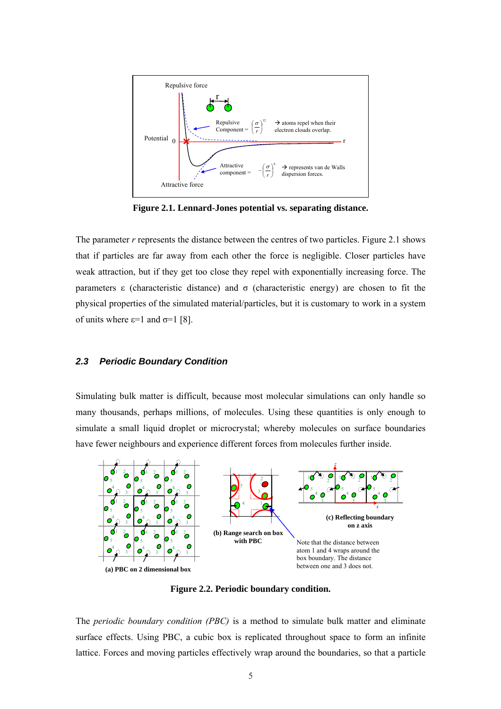

<span id="page-13-1"></span>**Figure 2.1. Lennard-Jones potential vs. separating distance.** 

The parameter *r* represents the distance between the centres of two particles. [Figure 2.1 s](#page-13-1)hows that if particles are far away from each other the force is negligible. Closer particles have weak attraction, but if they get too close they repel with exponentially increasing force. The parameters ε (characteristic distance) and  $\sigma$  (characteristic energy) are chosen to fit the physical properties of the simulated material/particles, but it is customary to work in a system of units where  $\varepsilon$ =1 and  $\sigma$ =1 [8].

#### <span id="page-13-0"></span>*2.3 Periodic Boundary Condition*

Simulating bulk matter is difficult, because most molecular simulations can only handle so many thousands, perhaps millions, of molecules. Using these quantities is only enough to simulate a small liquid droplet or microcrystal; whereby molecules on surface boundaries have fewer neighbours and experience different forces from molecules further inside.



<span id="page-13-2"></span>**Figure 2.2. Periodic boundary condition.** 

The *periodic boundary condition (PBC)* is a method to simulate bulk matter and eliminate surface effects. Using PBC, a cubic box is replicated throughout space to form an infinite lattice. Forces and moving particles effectively wrap around the boundaries, so that a particle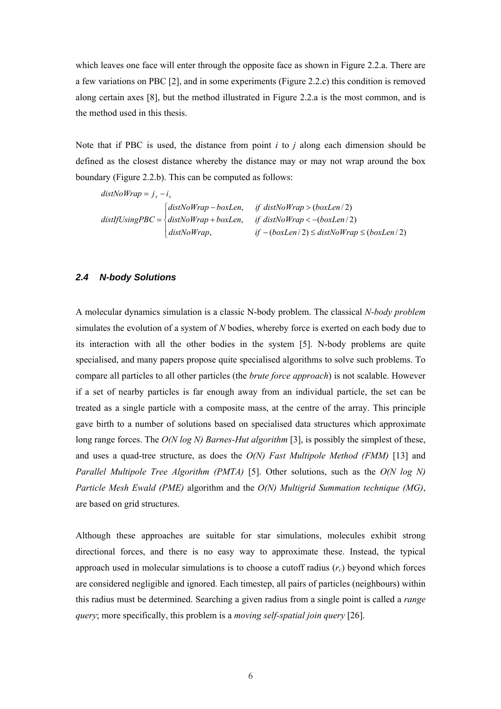which leaves one face will enter through the opposite face as shown in [Figure 2.2.a](#page-13-2). There are a few variations on PBC [2], and in some experiments ([Figure 2.2.c](#page-13-2)) this condition is removed along certain axes [8], but the method illustrated in [Figure 2.2.a](#page-13-2) is the most common, and is the method used in this thesis.

Note that if PBC is used, the distance from point *i* to *j* along each dimension should be defined as the closest distance whereby the distance may or may not wrap around the box boundary ([Figure 2.2.](#page-13-2)b). This can be computed as follows:

 $\overline{\mathcal{L}}$  $distIf Using PBC = \begin{cases} distNoWrap + boxLen, & if distNoWrap < -(boxLen/2) \end{cases}$  $\int distNoWrap - boxLen, \quad \text{if } distNoWrap > (boxLen/2)$  $distNoWrap$ ,  $if - (boxLen/2) \leq distNoWrap \leq (boxLen/2)$  $distNoWrap = j_x - i_x$ 

#### <span id="page-14-0"></span>*2.4 N-body Solutions*

A molecular dynamics simulation is a classic N-body problem. The classical *N-body problem* simulates the evolution of a system of *N* bodies, whereby force is exerted on each body due to its interaction with all the other bodies in the system [5]. N-body problems are quite specialised, and many papers propose quite specialised algorithms to solve such problems. To compare all particles to all other particles (the *brute force approach*) is not scalable. However if a set of nearby particles is far enough away from an individual particle, the set can be treated as a single particle with a composite mass, at the centre of the array. This principle gave birth to a number of solutions based on specialised data structures which approximate long range forces. The *O(N log N) Barnes-Hut algorithm* [3], is possibly the simplest of these, and uses a quad-tree structure, as does the *O(N) Fast Multipole Method (FMM)* [13] and *Parallel Multipole Tree Algorithm (PMTA)* [5]. Other solutions, such as the *O(N log N) Particle Mesh Ewald (PME)* algorithm and the *O(N) Multigrid Summation technique (MG)*, are based on grid structures.

Although these approaches are suitable for star simulations, molecules exhibit strong directional forces, and there is no easy way to approximate these. Instead, the typical approach used in molecular simulations is to choose a cutoff radius  $(r_c)$  beyond which forces are considered negligible and ignored. Each timestep, all pairs of particles (neighbours) within this radius must be determined. Searching a given radius from a single point is called a *range query*; more specifically, this problem is a *moving self-spatial join query* [26].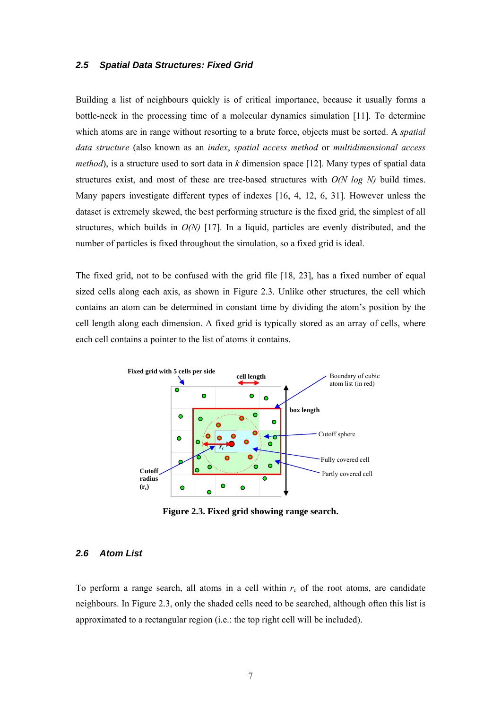#### <span id="page-15-0"></span>*2.5 Spatial Data Structures: Fixed Grid*

Building a list of neighbours quickly is of critical importance, because it usually forms a bottle-neck in the processing time of a molecular dynamics simulation [11]. To determine which atoms are in range without resorting to a brute force, objects must be sorted. A *spatial data structure* (also known as an *index*, *spatial access method* or *multidimensional access method*), is a structure used to sort data in *k* dimension space [12]. Many types of spatial data structures exist, and most of these are tree-based structures with *O(N log N)* build times. Many papers investigate different types of indexes [16, 4, 12, 6, 31]. However unless the dataset is extremely skewed, the best performing structure is the fixed grid, the simplest of all structures, which builds in *O(N)* [17]. In a liquid, particles are evenly distributed, and the number of particles is fixed throughout the simulation, so a fixed grid is ideal.

The fixed grid, not to be confused with the grid file [18, 23], has a fixed number of equal sized cells along each axis, as shown in [Figure 2.3.](#page-15-2) Unlike other structures, the cell which contains an atom can be determined in constant time by dividing the atom's position by the cell length along each dimension. A fixed grid is typically stored as an array of cells, where each cell contains a pointer to the list of atoms it contains.



<span id="page-15-2"></span>**Figure 2.3. Fixed grid showing range search.** 

#### <span id="page-15-1"></span>*2.6 Atom List*

To perform a range search, all atoms in a cell within  $r_c$  of the root atoms, are candidate neighbours. In [Figure 2.3,](#page-15-2) only the shaded cells need to be searched, although often this list is approximated to a rectangular region (i.e.: the top right cell will be included).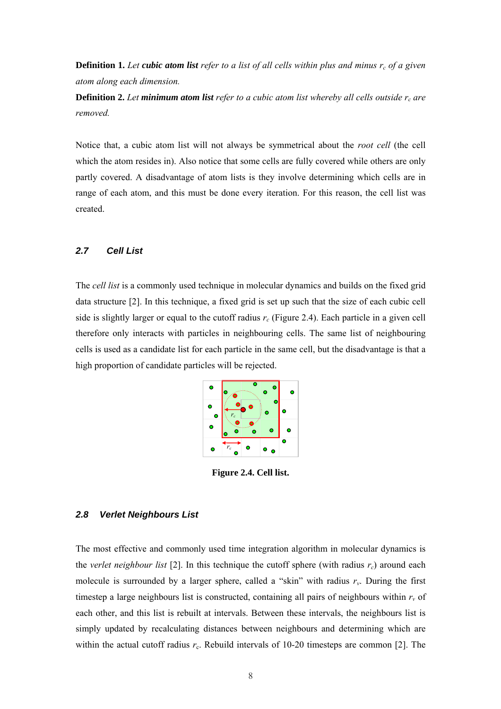<span id="page-16-3"></span>**Definition 1.** Let cubic atom list refer to a list of all cells within plus and minus  $r_c$  of a given *atom along each dimension.* 

<span id="page-16-4"></span>**Definition 2.** Let minimum atom list refer to a cubic atom list whereby all cells outside  $r_c$  are *removed.* 

Notice that, a cubic atom list will not always be symmetrical about the *root cell* (the cell which the atom resides in). Also notice that some cells are fully covered while others are only partly covered. A disadvantage of atom lists is they involve determining which cells are in range of each atom, and this must be done every iteration. For this reason, the cell list was created.

#### <span id="page-16-0"></span>*2.7 Cell List*

The *cell list* is a commonly used technique in molecular dynamics and builds on the fixed grid data structure [2]. In this technique, a fixed grid is set up such that the size of each cubic cell side is slightly larger or equal to the cutoff radius  $r_c$  ([Figure 2.4\)](#page-16-2). Each particle in a given cell therefore only interacts with particles in neighbouring cells. The same list of neighbouring cells is used as a candidate list for each particle in the same cell, but the disadvantage is that a high proportion of candidate particles will be rejected.



<span id="page-16-2"></span>**Figure 2.4. Cell list.** 

#### <span id="page-16-1"></span>*2.8 Verlet Neighbours List*

The most effective and commonly used time integration algorithm in molecular dynamics is the *verlet neighbour list* [2]. In this technique the cutoff sphere (with radius  $r_c$ ) around each molecule is surrounded by a larger sphere, called a "skin" with radius  $r_v$ . During the first timestep a large neighbours list is constructed, containing all pairs of neighbours within  $r_v$  of each other, and this list is rebuilt at intervals. Between these intervals, the neighbours list is simply updated by recalculating distances between neighbours and determining which are within the actual cutoff radius  $r_c$ . Rebuild intervals of 10-20 timesteps are common [2]. The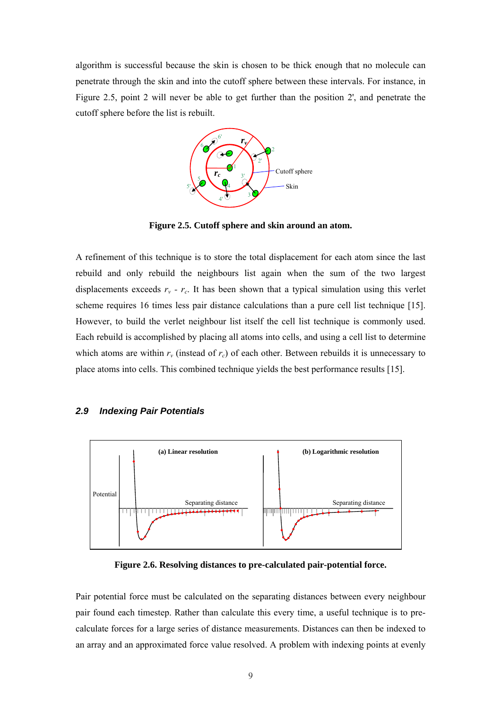algorithm is successful because the skin is chosen to be thick enough that no molecule can penetrate through the skin and into the cutoff sphere between these intervals. For instance, in [Figure 2.5,](#page-17-1) point 2 will never be able to get further than the position 2', and penetrate the cutoff sphere before the list is rebuilt.



<span id="page-17-1"></span>**Figure 2.5. Cutoff sphere and skin around an atom.** 

A refinement of this technique is to store the total displacement for each atom since the last rebuild and only rebuild the neighbours list again when the sum of the two largest displacements exceeds  $r_v$  -  $r_c$ . It has been shown that a typical simulation using this verlet scheme requires 16 times less pair distance calculations than a pure cell list technique [15]. However, to build the verlet neighbour list itself the cell list technique is commonly used. Each rebuild is accomplished by placing all atoms into cells, and using a cell list to determine which atoms are within  $r_v$  (instead of  $r_c$ ) of each other. Between rebuilds it is unnecessary to place atoms into cells. This combined technique yields the best performance results [15].

#### <span id="page-17-0"></span>*2.9 Indexing Pair Potentials*



<span id="page-17-2"></span>**Figure 2.6. Resolving distances to pre-calculated pair-potential force.** 

Pair potential force must be calculated on the separating distances between every neighbour pair found each timestep. Rather than calculate this every time, a useful technique is to precalculate forces for a large series of distance measurements. Distances can then be indexed to an array and an approximated force value resolved. A problem with indexing points at evenly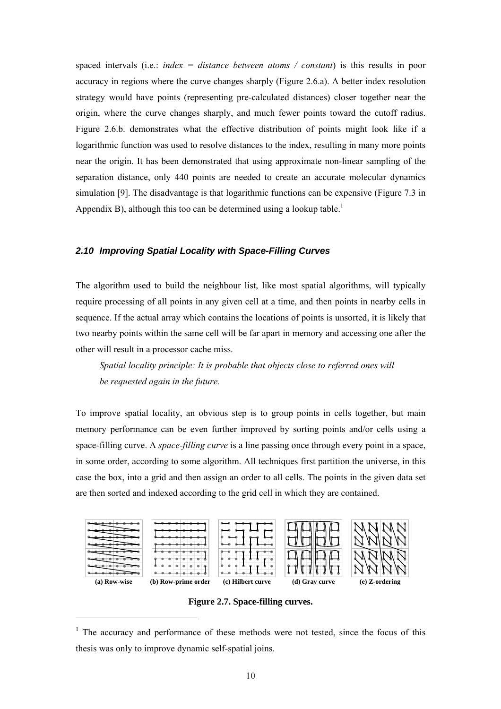spaced intervals (i.e.: *index = distance between atoms / constant*) is this results in poor accuracy in regions where the curve changes sharply ([Figure 2.6.](#page-17-2)a). A better index resolution strategy would have points (representing pre-calculated distances) closer together near the origin, where the curve changes sharply, and much fewer points toward the cutoff radius. [Figure 2.6.](#page-17-2)b. demonstrates what the effective distribution of points might look like if a logarithmic function was used to resolve distances to the index, resulting in many more points near the origin. It has been demonstrated that using approximate non-linear sampling of the separation distance, only 440 points are needed to create an accurate molecular dynamics simulation [9]. The disadvantage is that logarithmic functions can be expensive ([Figure 7.3 i](#page-76-2)n Appendix B), although this too can be determined using a lookup table.<sup>1</sup>

#### <span id="page-18-0"></span>*2.10 Improving Spatial Locality with Space-Filling Curves*

The algorithm used to build the neighbour list, like most spatial algorithms, will typically require processing of all points in any given cell at a time, and then points in nearby cells in sequence. If the actual array which contains the locations of points is unsorted, it is likely that two nearby points within the same cell will be far apart in memory and accessing one after the other will result in a processor cache miss.

*Spatial locality principle: It is probable that objects close to referred ones will be requested again in the future.* 

To improve spatial locality, an obvious step is to group points in cells together, but main memory performance can be even further improved by sorting points and/or cells using a space-filling curve. A *space-filling curve* is a line passing once through every point in a space, in some order, according to some algorithm. All techniques first partition the universe, in this case the box, into a grid and then assign an order to all cells. The points in the given data set are then sorted and indexed according to the grid cell in which they are contained.



<span id="page-18-1"></span>**Figure 2.7. Space-filling curves.** 

<span id="page-18-2"></span><sup>&</sup>lt;sup>1</sup> The accuracy and performance of these methods were not tested, since the focus of this thesis was only to improve dynamic self-spatial joins.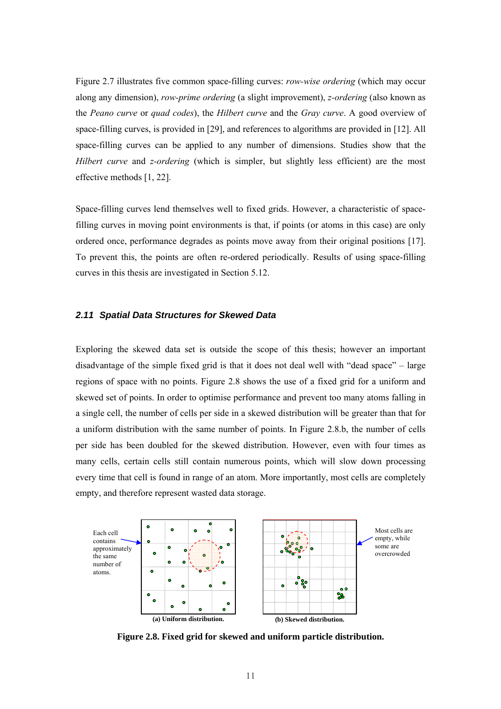[Figure 2.7](#page-18-1) illustrates five common space-filling curves: *row-wise ordering* (which may occur along any dimension), *row-prime ordering* (a slight improvement), *z-ordering* (also known as the *Peano curve* or *quad codes*), the *Hilbert curve* and the *Gray curve*. A good overview of space-filling curves, is provided in [29], and references to algorithms are provided in [12]. All space-filling curves can be applied to any number of dimensions. Studies show that the *Hilbert curve* and *z-ordering* (which is simpler, but slightly less efficient) are the most effective methods [1, 22].

Space-filling curves lend themselves well to fixed grids. However, a characteristic of spacefilling curves in moving point environments is that, if points (or atoms in this case) are only ordered once, performance degrades as points move away from their original positions [17]. To prevent this, the points are often re-ordered periodically. Results of using space-filling curves in this thesis are investigated in Section [5.12.](#page-51-2)

#### <span id="page-19-0"></span>*2.11 Spatial Data Structures for Skewed Data*

Exploring the skewed data set is outside the scope of this thesis; however an important disadvantage of the simple fixed grid is that it does not deal well with "dead space" – large regions of space with no points. [Figure 2.8](#page-19-1) shows the use of a fixed grid for a uniform and skewed set of points. In order to optimise performance and prevent too many atoms falling in a single cell, the number of cells per side in a skewed distribution will be greater than that for a uniform distribution with the same number of points. In [Figure 2.8.](#page-19-1)b, the number of cells per side has been doubled for the skewed distribution. However, even with four times as many cells, certain cells still contain numerous points, which will slow down processing every time that cell is found in range of an atom. More importantly, most cells are completely empty, and therefore represent wasted data storage.



<span id="page-19-1"></span>**Figure 2.8. Fixed grid for skewed and uniform particle distribution.**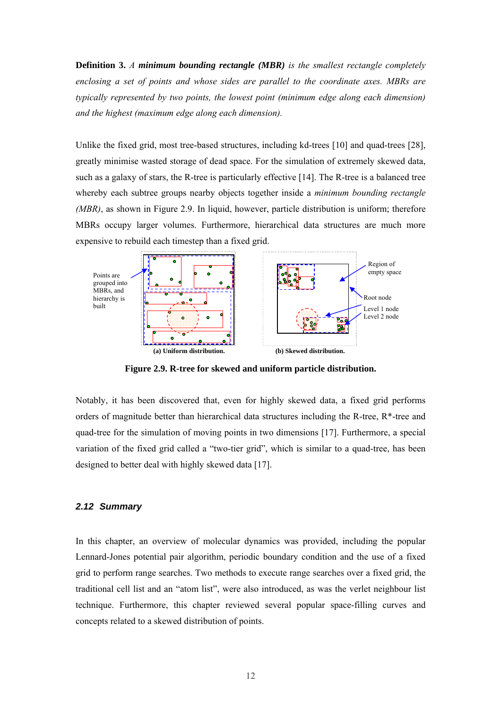<span id="page-20-2"></span>**Definition 3.** *A minimum bounding rectangle (MBR) is the smallest rectangle completely enclosing a set of points and whose sides are parallel to the coordinate axes. MBRs are typically represented by two points, the lowest point (minimum edge along each dimension) and the highest (maximum edge along each dimension).*

Unlike the fixed grid, most tree-based structures, including kd-trees [10] and quad-trees [28], greatly minimise wasted storage of dead space. For the simulation of extremely skewed data, such as a galaxy of stars, the R-tree is particularly effective [14]. The R-tree is a balanced tree whereby each subtree groups nearby objects together inside a *minimum bounding rectangle (MBR)*, as shown in [Figure 2.9.](#page-20-1) In liquid, however, particle distribution is uniform; therefore MBRs occupy larger volumes. Furthermore, hierarchical data structures are much more expensive to rebuild each timestep than a fixed grid.



<span id="page-20-1"></span>**Figure 2.9. R-tree for skewed and uniform particle distribution.** 

Notably, it has been discovered that, even for highly skewed data, a fixed grid performs orders of magnitude better than hierarchical data structures including the R-tree, R\*-tree and quad-tree for the simulation of moving points in two dimensions [17]. Furthermore, a special variation of the fixed grid called a "two-tier grid", which is similar to a quad-tree, has been designed to better deal with highly skewed data [17].

#### <span id="page-20-0"></span>*2.12 Summary*

In this chapter, an overview of molecular dynamics was provided, including the popular Lennard-Jones potential pair algorithm, periodic boundary condition and the use of a fixed grid to perform range searches. Two methods to execute range searches over a fixed grid, the traditional cell list and an "atom list", were also introduced, as was the verlet neighbour list technique. Furthermore, this chapter reviewed several popular space-filling curves and concepts related to a skewed distribution of points.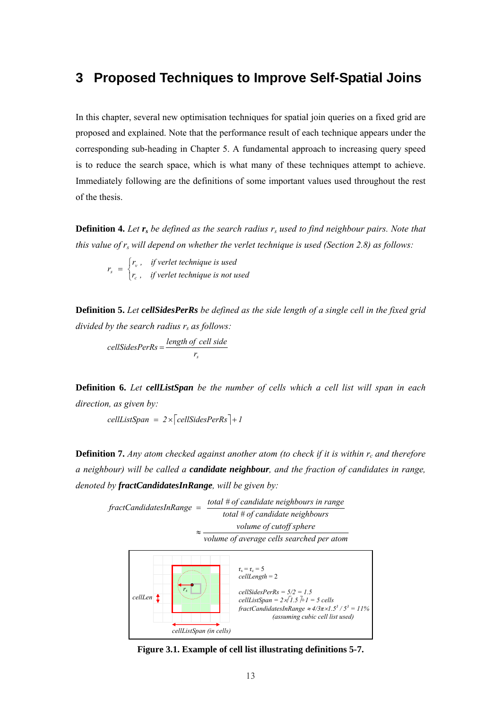### <span id="page-21-0"></span>**3 Proposed Techniques to Improve Self-Spatial Joins**

In this chapter, several new optimisation techniques for spatial join queries on a fixed grid are proposed and explained. Note that the performance result of each technique appears under the corresponding sub-heading in Chapter [5.](#page-32-3) A fundamental approach to increasing query speed is to reduce the search space, which is what many of these techniques attempt to achieve. Immediately following are the definitions of some important values used throughout the rest of the thesis.

<span id="page-21-2"></span>**Definition 4.** Let  $r_s$  be defined as the search radius  $r_s$  used to find neighbour pairs. Note that *this value of r<sub>s</sub> will depend on whether the verlet technique is used (Section [2.8\)](#page-16-1) as follows:* 

<span id="page-21-3"></span>
$$
r_s = \begin{cases} r_v, & \text{if verlet technique is used} \\ r_c, & \text{if verlet technique is not used} \end{cases}
$$

**Definition 5.** *Let cellSidesPerRs be defined as the side length of a single cell in the fixed grid divided by the search radius rs as follows:*

<span id="page-21-4"></span>*sr length of cell side cellSidesPerRs* <sup>=</sup>

<span id="page-21-5"></span>**Definition 6.** *Let cellListSpan be the number of cells which a cell list will span in each direction, as given by:*

 $cellListSpan = 2 \times \sqrt{cellSidesPerRs} + 1$ 

**Definition 7.** *Any atom checked against another atom (to check if it is within*  $r_c$  *and therefore a neighbour) will be called a candidate neighbour, and the fraction of candidates in range, denoted by fractCandidatesInRange, will be given by:*

*volume of average cells searched per atom volume of cutoff sphere total # of candidate neighbours total # of candidate neighbours in range* ≈  $fractC and idates InRange =$ *cellLen rs cellListSpan (in cells)*   $r_s = r_c = 5$ *cellLength* = 2 *cellSidesPerRs = 5/2 = 1.5*   $cellListSpan = 2\sqrt{1.5} + 1 = 5$  cells  $frac{C}{2}$ *fractCandidatesInRange*  $\approx$  4/3 $\pi$ ×1.5<sup>3</sup> / 5<sup>3</sup> = 11%  *(assuming cubic cell list used)* 

<span id="page-21-6"></span><span id="page-21-1"></span>**Figure 3.1. Example of cell list illustrating definitions 5-7.**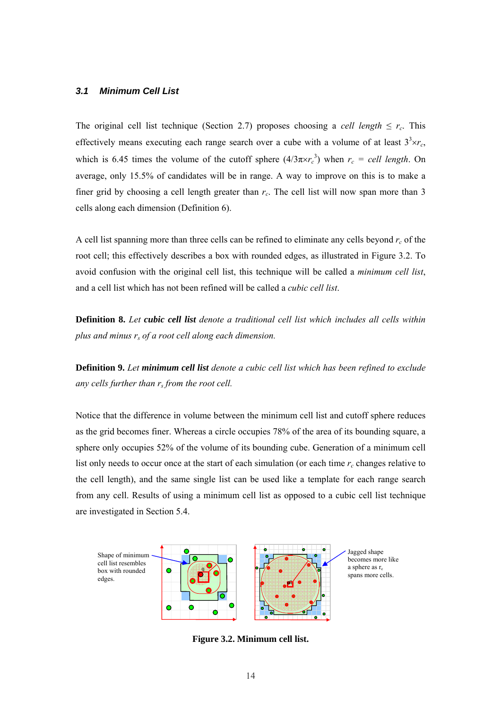#### <span id="page-22-0"></span>*3.1 Minimum Cell List*

The original cell list technique (Section [2.7\)](#page-16-0) proposes choosing a *cell length*  $\leq r_c$ . This effectively means executing each range search over a cube with a volume of at least  $3<sup>3</sup> \times r_c$ , which is 6.45 times the volume of the cutoff sphere  $(4/3\pi\times r_c^3)$  when  $r_c$  = cell length. On average, only 15.5% of candidates will be in range. A way to improve on this is to make a finer grid by choosing a cell length greater than  $r_c$ . The cell list will now span more than 3 cells along each dimension ([Definition 6\)](#page-21-4).

A cell list spanning more than three cells can be refined to eliminate any cells beyond  $r_c$  of the root cell; this effectively describes a box with rounded edges, as illustrated in [Figure 3.2.](#page-22-1) To avoid confusion with the original cell list, this technique will be called a *minimum cell list*, and a cell list which has not been refined will be called a *cubic cell list*.

<span id="page-22-2"></span>**Definition 8.** *Let cubic cell list denote a traditional cell list which includes all cells within plus and minus rs of a root cell along each dimension.*

<span id="page-22-3"></span>**Definition 9.** *Let minimum cell list denote a cubic cell list which has been refined to exclude any cells further than rs from the root cell.*

Notice that the difference in volume between the minimum cell list and cutoff sphere reduces as the grid becomes finer. Whereas a circle occupies 78% of the area of its bounding square, a sphere only occupies 52% of the volume of its bounding cube. Generation of a minimum cell list only needs to occur once at the start of each simulation (or each time  $r_c$  changes relative to the cell length), and the same single list can be used like a template for each range search from any cell. Results of using a minimum cell list as opposed to a cubic cell list technique are investigated in Section [5.4.](#page-36-0) 



<span id="page-22-1"></span>**Figure 3.2. Minimum cell list.**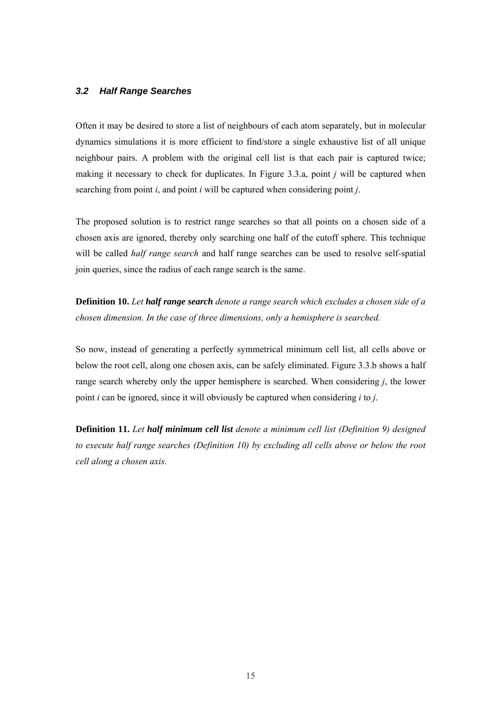#### <span id="page-23-0"></span>*3.2 Half Range Searches*

Often it may be desired to store a list of neighbours of each atom separately, but in molecular dynamics simulations it is more efficient to find/store a single exhaustive list of all unique neighbour pairs. A problem with the original cell list is that each pair is captured twice; making it necessary to check for duplicates. In [Figure 3.3.](#page-24-1)a, point *j* will be captured when searching from point *i*, and point *i* will be captured when considering point *j*.

The proposed solution is to restrict range searches so that all points on a chosen side of a chosen axis are ignored, thereby only searching one half of the cutoff sphere. This technique will be called *half range search* and half range searches can be used to resolve self-spatial join queries, since the radius of each range search is the same.

<span id="page-23-1"></span>**Definition 10.** *Let half range search denote a range search which excludes a chosen side of a chosen dimension. In the case of three dimensions, only a hemisphere is searched.* 

So now, instead of generating a perfectly symmetrical minimum cell list, all cells above or below the root cell, along one chosen axis, can be safely eliminated. [Figure 3.3.b](#page-24-1) shows a half range search whereby only the upper hemisphere is searched. When considering *j*, the lower point *i* can be ignored, since it will obviously be captured when considering *i* to *j*.

<span id="page-23-2"></span>**Definition 11.** *Let half minimum cell list denote a minimum cell list ([Definition 9\)](#page-22-3) designed to execute half range searches ([Definition 10\)](#page-23-1) by excluding all cells above or below the root cell along a chosen axis.*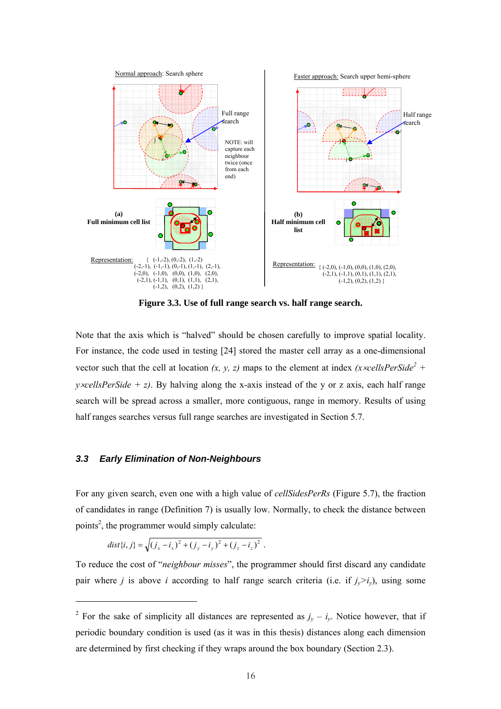

<span id="page-24-1"></span>**Figure 3.3. Use of full range search vs. half range search.** 

Note that the axis which is "halved" should be chosen carefully to improve spatial locality. For instance, the code used in testing [24] stored the master cell array as a one-dimensional vector such that the cell at location  $(x, y, z)$  maps to the element at index  $(x \times \text{cellsPerSide}^2 +$ *y*×*cellsPerSide* + *z*). By halving along the x-axis instead of the y or z axis, each half range search will be spread across a smaller, more contiguous, range in memory. Results of using half ranges searches versus full range searches are investigated in Section [5.7.](#page-42-0) 

#### <span id="page-24-0"></span>*3.3 Early Elimination of Non-Neighbours*

For any given search, even one with a high value of *cellSidesPerRs* ([Figure 5.7\)](#page-38-1), the fraction of candidates in range [\(Definition 7\)](#page-21-5) is usually low. Normally, to check the distance between points<sup>[2](#page-24-2)</sup>, the programmer would simply calculate:

$$
dist\{i, j\} = \sqrt{(j_x - i_x)^2 + (j_y - i_y)^2 + (j_z - i_z)^2}.
$$

To reduce the cost of "*neighbour misses*", the programmer should first discard any candidate pair where *j* is above *i* according to half range search criteria (i.e. if  $j_v > i_v$ ), using some

<span id="page-24-2"></span><sup>&</sup>lt;sup>2</sup> For the sake of simplicity all distances are represented as  $j_y - i_y$ . Notice however, that if periodic boundary condition is used (as it was in this thesis) distances along each dimension are determined by first checking if they wraps around the box boundary (Section 2.3).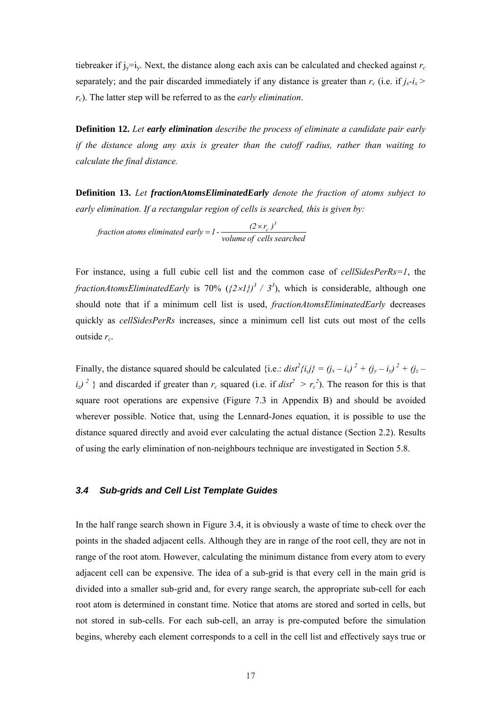tiebreaker if  $j_y=i_y$ . Next, the distance along each axis can be calculated and checked against  $r_c$ separately; and the pair discarded immediately if any distance is greater than  $r_c$  (i.e. if  $j_x-i_x$ ) *rc*). The latter step will be referred to as the *early elimination*.

<span id="page-25-1"></span>**Definition 12.** *Let early elimination describe the process of eliminate a candidate pair early if the distance along any axis is greater than the cutoff radius, rather than waiting to calculate the final distance.* 

<span id="page-25-2"></span>**Definition 13.** *Let fractionAtomsEliminatedEarly denote the fraction of atoms subject to early elimination. If a rectangular region of cells is searched, this is given by:*

*fraction atoms eliminated early* =  $I$  -  $\frac{(2 \times r_c)^3}{volume \ of \ cells \ searched}$ 

For instance, using a full cubic cell list and the common case of *cellSidesPerRs=1*, the *fractionAtomsEliminatedEarly* is 70%  $({2 \times}1)$ <sup>3</sup> / 3<sup>3</sup>), which is considerable, although one should note that if a minimum cell list is used, *fractionAtomsEliminatedEarly* decreases quickly as *cellSidesPerRs* increases, since a minimum cell list cuts out most of the cells outside *rc*.

Finally, the distance squared should be calculated {i.e.:  $dist^2\{i,j\} = (j_x - i_x)^2 + (j_y - i_y)^2 + (j_z - i_y)^2$  $i_z$ )<sup>2</sup> } and discarded if greater than  $r_c$  squared (i.e. if  $dist^2 > r_c^2$ ). The reason for this is that square root operations are expensive ([Figure 7.3](#page-76-2) in Appendix B) and should be avoided wherever possible. Notice that, using the Lennard-Jones equation, it is possible to use the distance squared directly and avoid ever calculating the actual distance (Section [2.2\)](#page-12-2). Results of using the early elimination of non-neighbours technique are investigated in Section [5.8.](#page-44-0)

#### <span id="page-25-0"></span>*3.4 Sub-grids and Cell List Template Guides*

In the half range search shown in [Figure 3.4,](#page-26-1) it is obviously a waste of time to check over the points in the shaded adjacent cells. Although they are in range of the root cell, they are not in range of the root atom. However, calculating the minimum distance from every atom to every adjacent cell can be expensive. The idea of a sub-grid is that every cell in the main grid is divided into a smaller sub-grid and, for every range search, the appropriate sub-cell for each root atom is determined in constant time. Notice that atoms are stored and sorted in cells, but not stored in sub-cells. For each sub-cell, an array is pre-computed before the simulation begins, whereby each element corresponds to a cell in the cell list and effectively says true or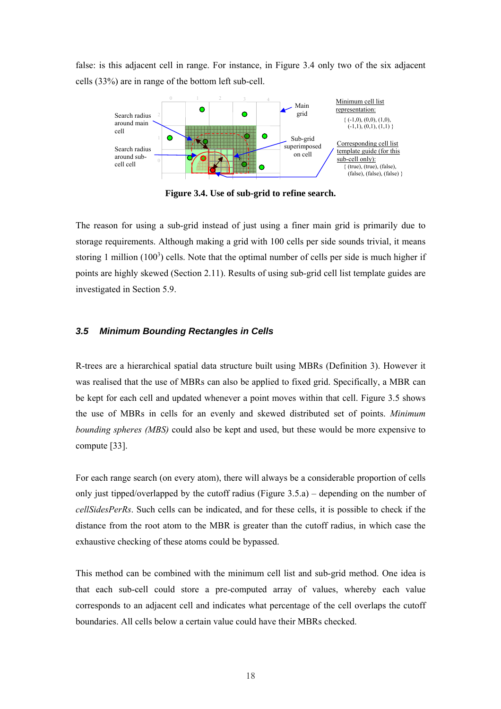false: is this adjacent cell in range. For instance, in [Figure 3.4](#page-26-1) only two of the six adjacent cells (33%) are in range of the bottom left sub-cell.



<span id="page-26-1"></span>**Figure 3.4. Use of sub-grid to refine search.** 

The reason for using a sub-grid instead of just using a finer main grid is primarily due to storage requirements. Although making a grid with 100 cells per side sounds trivial, it means storing 1 million  $(100^3)$  cells. Note that the optimal number of cells per side is much higher if points are highly skewed (Section [2.11\)](#page-19-0). Results of using sub-grid cell list template guides are investigated in Section [5.9.](#page-44-1)

#### <span id="page-26-0"></span>*3.5 Minimum Bounding Rectangles in Cells*

R-trees are a hierarchical spatial data structure built using MBRs ([Definition 3\)](#page-20-2). However it was realised that the use of MBRs can also be applied to fixed grid. Specifically, a MBR can be kept for each cell and updated whenever a point moves within that cell. [Figure 3.5](#page-27-1) shows the use of MBRs in cells for an evenly and skewed distributed set of points. *Minimum bounding spheres (MBS)* could also be kept and used, but these would be more expensive to compute [33].

For each range search (on every atom), there will always be a considerable proportion of cells only just tipped/overlapped by the cutoff radius ([Figure 3.5.](#page-27-1)a) – depending on the number of *cellSidesPerRs*. Such cells can be indicated, and for these cells, it is possible to check if the distance from the root atom to the MBR is greater than the cutoff radius, in which case the exhaustive checking of these atoms could be bypassed.

This method can be combined with the minimum cell list and sub-grid method. One idea is that each sub-cell could store a pre-computed array of values, whereby each value corresponds to an adjacent cell and indicates what percentage of the cell overlaps the cutoff boundaries. All cells below a certain value could have their MBRs checked.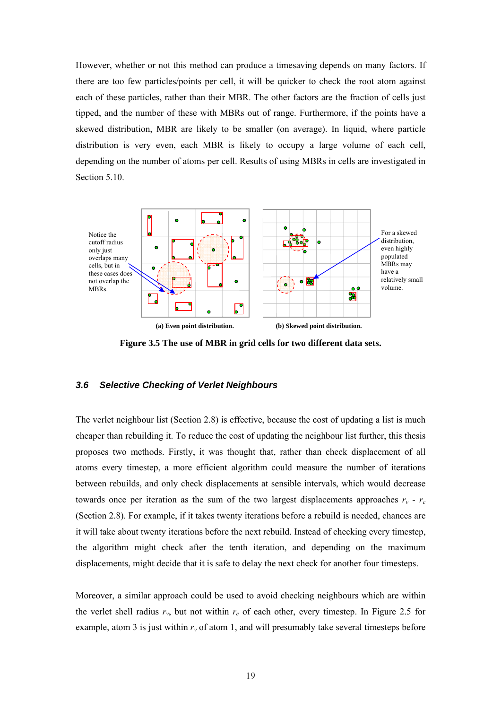However, whether or not this method can produce a timesaving depends on many factors. If there are too few particles/points per cell, it will be quicker to check the root atom against each of these particles, rather than their MBR. The other factors are the fraction of cells just tipped, and the number of these with MBRs out of range. Furthermore, if the points have a skewed distribution, MBR are likely to be smaller (on average). In liquid, where particle distribution is very even, each MBR is likely to occupy a large volume of each cell, depending on the number of atoms per cell. Results of using MBRs in cells are investigated in Section [5.10.](#page-47-0)



<span id="page-27-1"></span>**Figure 3.5 The use of MBR in grid cells for two different data sets.** 

#### <span id="page-27-0"></span>*3.6 Selective Checking of Verlet Neighbours*

The verlet neighbour list (Section [2.8\)](#page-16-1) is effective, because the cost of updating a list is much cheaper than rebuilding it. To reduce the cost of updating the neighbour list further, this thesis proposes two methods. Firstly, it was thought that, rather than check displacement of all atoms every timestep, a more efficient algorithm could measure the number of iterations between rebuilds, and only check displacements at sensible intervals, which would decrease towards once per iteration as the sum of the two largest displacements approaches  $r_v$  -  $r_c$ (Section [2.8\)](#page-16-1). For example, if it takes twenty iterations before a rebuild is needed, chances are it will take about twenty iterations before the next rebuild. Instead of checking every timestep, the algorithm might check after the tenth iteration, and depending on the maximum displacements, might decide that it is safe to delay the next check for another four timesteps.

Moreover, a similar approach could be used to avoid checking neighbours which are within the verlet shell radius  $r_v$ , but not within  $r_c$  of each other, every timestep. In [Figure 2.5](#page-17-1) for example, atom 3 is just within  $r_v$  of atom 1, and will presumably take several timesteps before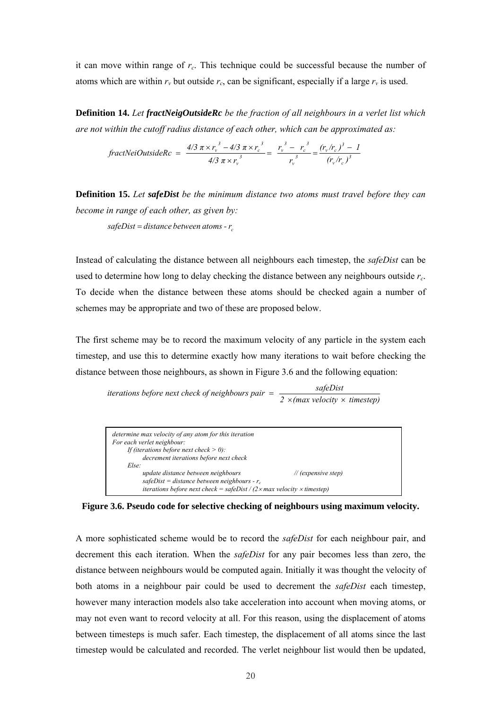it can move within range of *rc*. This technique could be successful because the number of atoms which are within  $r_v$  but outside  $r_c$ , can be significant, especially if a large  $r_v$  is used.

<span id="page-28-2"></span><span id="page-28-1"></span>**Definition 14.** *Let fractNeigOutsideRc be the fraction of all neighbours in a verlet list which are not within the cutoff radius distance of each other, which can be approximated as:*

$$
\text{fractNeiOutsideRc} = \frac{4/3 \pi \times r_v^3 - 4/3 \pi \times r_c^3}{4/3 \pi \times r_v^3} = \frac{r_v^3 - r_c^3}{r_v^3} = \frac{(r_v/r_c)^3 - 1}{(r_v/r_c)^3}
$$

**Definition 15.** *Let safeDist be the minimum distance two atoms must travel before they can become in range of each other, as given by:*  $\alpha$  *safeDist* = *distance between atoms* -  $r_a$ 

Instead of calculating the distance between all neighbours each timestep, the *safeDist* can be used to determine how long to delay checking the distance between any neighbours outside *rc*. To decide when the distance between these atoms should be checked again a number of schemes may be appropriate and two of these are proposed below.

The first scheme may be to record the maximum velocity of any particle in the system each timestep, and use this to determine exactly how many iterations to wait before checking the distance between those neighbours, as shown in [Figure 3.6](#page-28-0) and the following equation:

*iterations before next check of neighbours pair*  $=$   $\frac{safeDist}{2 \times (max velocity \times timestep)}$ 

| determine max velocity of any atom for this iteration<br>For each verlet neighbour:<br>If (iterations before next check $> 0$ ):<br>decrement iterations before next check                                      |  |  |  |
|-----------------------------------------------------------------------------------------------------------------------------------------------------------------------------------------------------------------|--|--|--|
| Else:                                                                                                                                                                                                           |  |  |  |
| update distance between neighbours<br>$\mathcal{U}$ (expensive step)<br>safeDist = distance between neighbours - $r_c$<br>iterations before next check = safeDist / $(2 \times max$ velocity $\times$ timestep) |  |  |  |
|                                                                                                                                                                                                                 |  |  |  |

<span id="page-28-0"></span>**Figure 3.6. Pseudo code for selective checking of neighbours using maximum velocity.** 

A more sophisticated scheme would be to record the *safeDist* for each neighbour pair, and decrement this each iteration. When the *safeDist* for any pair becomes less than zero, the distance between neighbours would be computed again. Initially it was thought the velocity of both atoms in a neighbour pair could be used to decrement the *safeDist* each timestep, however many interaction models also take acceleration into account when moving atoms, or may not even want to record velocity at all. For this reason, using the displacement of atoms between timesteps is much safer. Each timestep, the displacement of all atoms since the last timestep would be calculated and recorded. The verlet neighbour list would then be updated,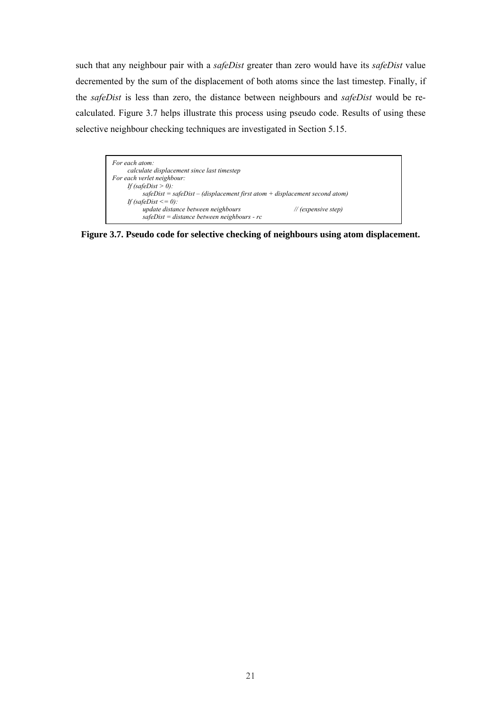such that any neighbour pair with a *safeDist* greater than zero would have its *safeDist* value decremented by the sum of the displacement of both atoms since the last timestep. Finally, if the *safeDist* is less than zero, the distance between neighbours and *safeDist* would be recalculated. [Figure 3.7](#page-29-0) helps illustrate this process using pseudo code. Results of using these selective neighbour checking techniques are investigated in Section [5.15.](#page-62-0)



<span id="page-29-0"></span>**Figure 3.7. Pseudo code for selective checking of neighbours using atom displacement.**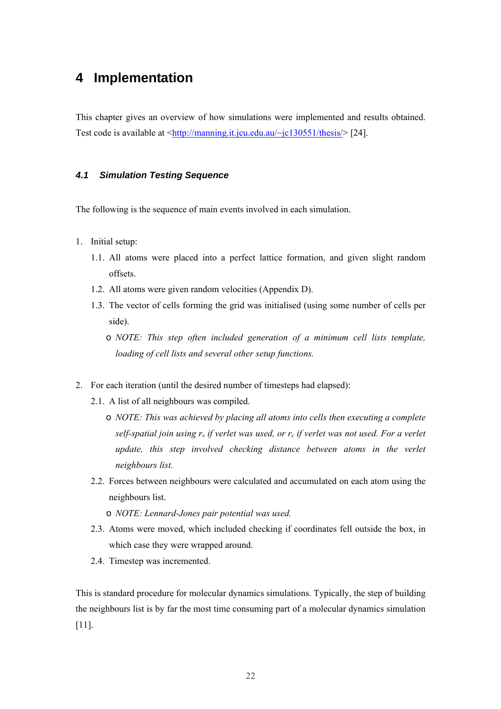## <span id="page-30-0"></span>**4 Implementation**

This chapter gives an overview of how simulations were implemented and results obtained. Test code is available at  $\frac{\text{http://manning.it.jcu.edu.au/~jc130551/thesis/}}{24}$ .

#### <span id="page-30-1"></span>*4.1 Simulation Testing Sequence*

The following is the sequence of main events involved in each simulation.

- <span id="page-30-2"></span>1. Initial setup:
	- 1.1. All atoms were placed into a perfect lattice formation, and given slight random offsets.
	- 1.2. All atoms were given random velocities (Appendix D).
	- 1.3. The vector of cells forming the grid was initialised (using some number of cells per side).
		- o *NOTE: This step often included generation of a minimum cell lists template, loading of cell lists and several other setup functions.*
- 2. For each iteration (until the desired number of timesteps had elapsed):
	- 2.1. A list of all neighbours was compiled.
		- o *NOTE: This was achieved by placing all atoms into cells then executing a complete self-spatial join using*  $r_v$  *if verlet was used, or*  $r_c$  *if verlet was not used. For a verlet update, this step involved checking distance between atoms in the verlet neighbours list.*
	- 2.2. Forces between neighbours were calculated and accumulated on each atom using the neighbours list.
		- o *NOTE: Lennard-Jones pair potential was used.*
	- 2.3. Atoms were moved, which included checking if coordinates fell outside the box, in which case they were wrapped around.
	- 2.4. Timestep was incremented.

This is standard procedure for molecular dynamics simulations. Typically, the step of building the neighbours list is by far the most time consuming part of a molecular dynamics simulation [11].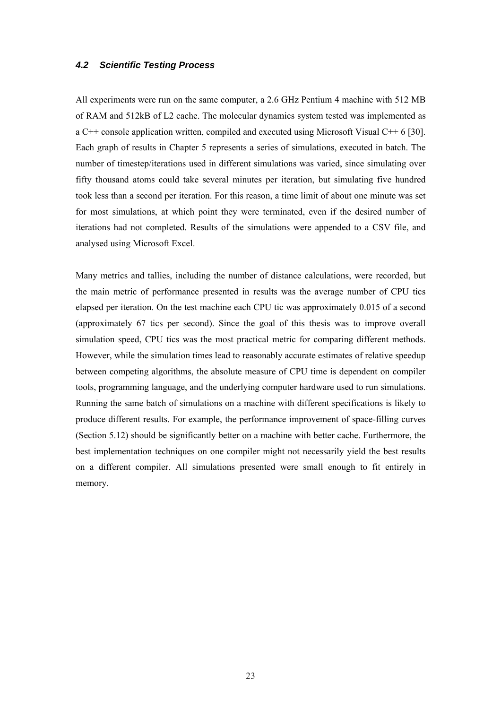#### <span id="page-31-0"></span>*4.2 Scientific Testing Process*

All experiments were run on the same computer, a 2.6 GHz Pentium 4 machine with 512 MB of RAM and 512kB of L2 cache. The molecular dynamics system tested was implemented as a C<sup>++</sup> console application written, compiled and executed using Microsoft Visual C<sup>++</sup> 6 [30]. Each graph of results in Chapter [5](#page-32-3) represents a series of simulations, executed in batch. The number of timestep/iterations used in different simulations was varied, since simulating over fifty thousand atoms could take several minutes per iteration, but simulating five hundred took less than a second per iteration. For this reason, a time limit of about one minute was set for most simulations, at which point they were terminated, even if the desired number of iterations had not completed. Results of the simulations were appended to a CSV file, and analysed using Microsoft Excel.

Many metrics and tallies, including the number of distance calculations, were recorded, but the main metric of performance presented in results was the average number of CPU tics elapsed per iteration. On the test machine each CPU tic was approximately 0.015 of a second (approximately 67 tics per second). Since the goal of this thesis was to improve overall simulation speed, CPU tics was the most practical metric for comparing different methods. However, while the simulation times lead to reasonably accurate estimates of relative speedup between competing algorithms, the absolute measure of CPU time is dependent on compiler tools, programming language, and the underlying computer hardware used to run simulations. Running the same batch of simulations on a machine with different specifications is likely to produce different results. For example, the performance improvement of space-filling curves (Section [5.12\)](#page-51-2) should be significantly better on a machine with better cache. Furthermore, the best implementation techniques on one compiler might not necessarily yield the best results on a different compiler. All simulations presented were small enough to fit entirely in memory.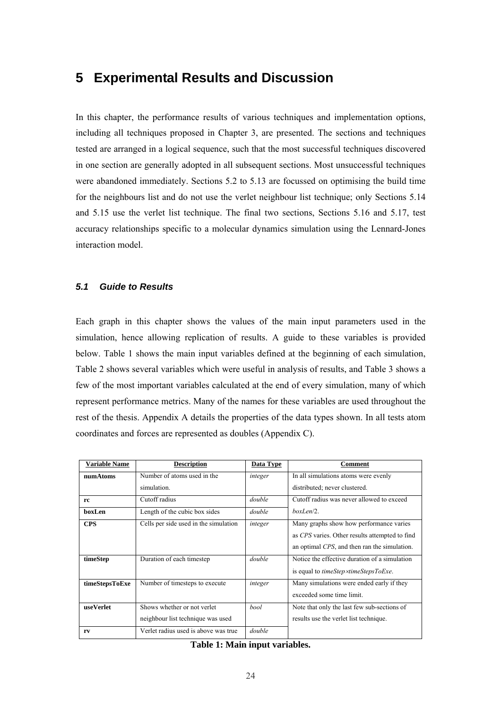### <span id="page-32-0"></span>**5 Experimental Results and Discussion**

In this chapter, the performance results of various techniques and implementation options, including all techniques proposed in Chapter [3,](#page-21-6) are presented. The sections and techniques tested are arranged in a logical sequence, such that the most successful techniques discovered in one section are generally adopted in all subsequent sections. Most unsuccessful techniques were abandoned immediately. Sections [5.2](#page-34-3) to [5.13](#page-53-0) are focussed on optimising the build time for the neighbours list and do not use the verlet neighbour list technique; only Sections [5.14](#page-57-0)  and [5.15](#page-62-0) use the verlet list technique. The final two sections, Sections [5.16](#page-64-0) and [5.17,](#page-67-0) test accuracy relationships specific to a molecular dynamics simulation using the Lennard-Jones interaction model.

#### <span id="page-32-1"></span>*5.1 Guide to Results*

Each graph in this chapter shows the values of the main input parameters used in the simulation, hence allowing replication of results. A guide to these variables is provided below. [Table 1](#page-32-2) shows the main input variables defined at the beginning of each simulation, [Table 2](#page-33-0) shows several variables which were useful in analysis of results, and [Table 3 s](#page-33-1)hows a few of the most important variables calculated at the end of every simulation, many of which represent performance metrics. Many of the names for these variables are used throughout the rest of the thesis. Appendix A details the properties of the data types shown. In all tests atom coordinates and forces are represented as doubles (Appendix C).

<span id="page-32-3"></span>

| <b>Variable Name</b> | <b>Description</b>                                               | Data Type | Comment                                                                                                                                   |
|----------------------|------------------------------------------------------------------|-----------|-------------------------------------------------------------------------------------------------------------------------------------------|
| numAtoms             | Number of atoms used in the                                      | integer   | In all simulations atoms were evenly                                                                                                      |
|                      | simulation.                                                      |           | distributed; never clustered.                                                                                                             |
| rc                   | Cutoff radius                                                    | double    | Cutoff radius was never allowed to exceed                                                                                                 |
| boxLen               | Length of the cubic box sides                                    | double    | $boxLen/2$ .                                                                                                                              |
| <b>CPS</b>           | Cells per side used in the simulation                            | integer   | Many graphs show how performance varies<br>as CPS varies. Other results attempted to find<br>an optimal CPS, and then ran the simulation. |
| timeStep             | Duration of each timestep                                        | double    | Notice the effective duration of a simulation<br>is equal to <i>timeStep</i> xtimeStepsToExe.                                             |
| timeStepsToExe       | Number of timesteps to execute                                   | integer   | Many simulations were ended early if they<br>exceeded some time limit.                                                                    |
| useVerlet            | Shows whether or not verlet<br>neighbour list technique was used | bool      | Note that only the last few sub-sections of<br>results use the verlet list technique.                                                     |
| rv                   | Verlet radius used is above was true                             | double    |                                                                                                                                           |

<span id="page-32-2"></span>**Table 1: Main input variables.**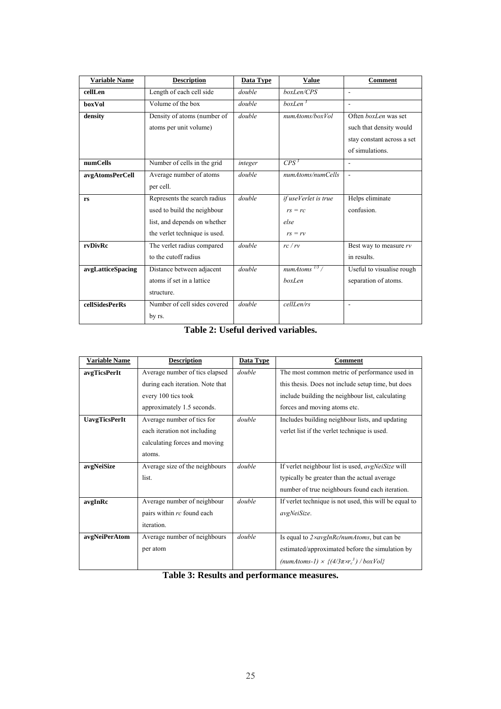| <b>Variable Name</b>  | <b>Description</b>            | <b>Data Type</b> | <b>Value</b>                | Comment                    |
|-----------------------|-------------------------------|------------------|-----------------------------|----------------------------|
| cellLen               | Length of each cell side      | double           | boxLen/CPS                  | $\sim$                     |
| boxVol                | Volume of the box             | double           | $boxLen^3$                  | $\overline{a}$             |
| density               | Density of atoms (number of   | double           | numAtoms/boxVol             | Often boxLen was set       |
|                       | atoms per unit volume)        |                  |                             | such that density would    |
|                       |                               |                  |                             | stay constant across a set |
|                       |                               |                  |                             | of simulations.            |
| numCells              | Number of cells in the grid   | integer          | $CPS^3$                     | ÷.                         |
| avgAtomsPerCell       | Average number of atoms       | double           | numAtoms/numCells           | $\overline{a}$             |
|                       | per cell.                     |                  |                             |                            |
| rs                    | Represents the search radius  | double           | if useVerlet is true        | Helps eliminate            |
|                       | used to build the neighbour   |                  | $rs = rc$                   | confusion.                 |
|                       | list, and depends on whether  |                  | else                        |                            |
|                       | the verlet technique is used. |                  | $rs = rv$                   |                            |
| rvDivRc               | The verlet radius compared    | double           | rc/rv                       | Best way to measure $rv$   |
|                       | to the cutoff radius          |                  |                             | in results.                |
| avgLatticeSpacing     | Distance between adjacent     | double           | $numAtoms$ <sup>1/3</sup> / | Useful to visualise rough  |
|                       | atoms if set in a lattice     |                  | boxLen                      | separation of atoms.       |
|                       | structure.                    |                  |                             |                            |
| <b>cellSidesPerRs</b> | Number of cell sides covered  | double           | cellLen/rs                  | ÷                          |
|                       | by rs.                        |                  |                             |                            |

<span id="page-33-0"></span>**Table 2: Useful derived variables.** 

| <b>Variable Name</b> | <b>Description</b>               | <b>Data Type</b> | Comment                                                   |
|----------------------|----------------------------------|------------------|-----------------------------------------------------------|
| avgTicsPerIt         | Average number of tics elapsed   | double           | The most common metric of performance used in             |
|                      | during each iteration. Note that |                  | this thesis. Does not include setup time, but does        |
|                      | every 100 tics took              |                  | include building the neighbour list, calculating          |
|                      | approximately 1.5 seconds.       |                  | forces and moving atoms etc.                              |
| <b>UavgTicsPerIt</b> | Average number of tics for       | double           | Includes building neighbour lists, and updating           |
|                      | each iteration not including     |                  | verlet list if the verlet technique is used.              |
|                      | calculating forces and moving    |                  |                                                           |
|                      | atoms.                           |                  |                                                           |
| avgNeiSize           | Average size of the neighbours   | double           | If verlet neighbour list is used, <i>avgNeiSize</i> will  |
|                      | list.                            |                  | typically be greater than the actual average              |
|                      |                                  |                  | number of true neighbours found each iteration.           |
| avgInRc              | Average number of neighbour      | double           | If verlet technique is not used, this will be equal to    |
|                      | pairs within rc found each       |                  | avgNeiSize.                                               |
|                      | iteration.                       |                  |                                                           |
| avgNeiPerAtom        | Average number of neighbours     | double           | Is equal to 2xavgInRc/numAtoms, but can be                |
|                      | per atom                         |                  | estimated/approximated before the simulation by           |
|                      |                                  |                  | (numAtoms-1) $\times$ { $(4/3\pi \times r_c^3)$ / boxVol} |

<span id="page-33-1"></span>**Table 3: Results and performance measures.**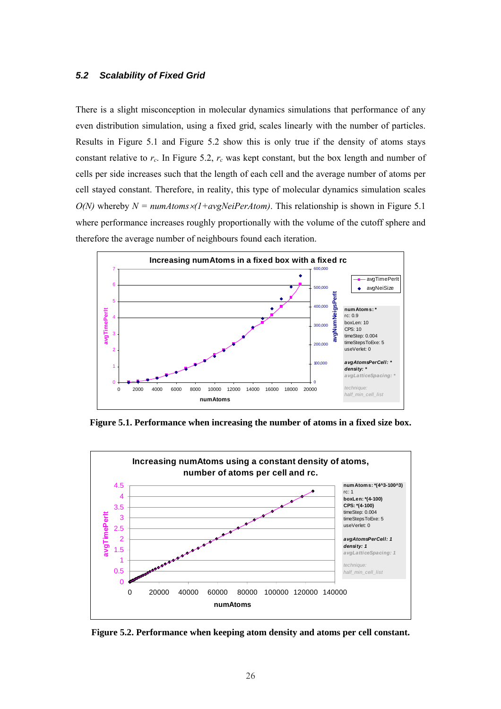#### <span id="page-34-0"></span>*5.2 Scalability of Fixed Grid*

There is a slight misconception in molecular dynamics simulations that performance of any even distribution simulation, using a fixed grid, scales linearly with the number of particles. Results in [Figure 5.1](#page-34-1) and [Figure 5.2](#page-34-2) show this is only true if the density of atoms stays constant relative to  $r_c$ . In [Figure 5.2,](#page-34-2)  $r_c$  was kept constant, but the box length and number of cells per side increases such that the length of each cell and the average number of atoms per cell stayed constant. Therefore, in reality, this type of molecular dynamics simulation scales  $O(N)$  whereby  $N = numAtoms \times (1+avgNeiPerAtom)$ . This relationship is shown in Figure 5.1 where performance increases roughly proportionally with the volume of the cutoff sphere and therefore the average number of neighbours found each iteration.



<span id="page-34-1"></span>**Figure 5.1. Performance when increasing the number of atoms in a fixed size box.** 



<span id="page-34-3"></span><span id="page-34-2"></span>**Figure 5.2. Performance when keeping atom density and atoms per cell constant.**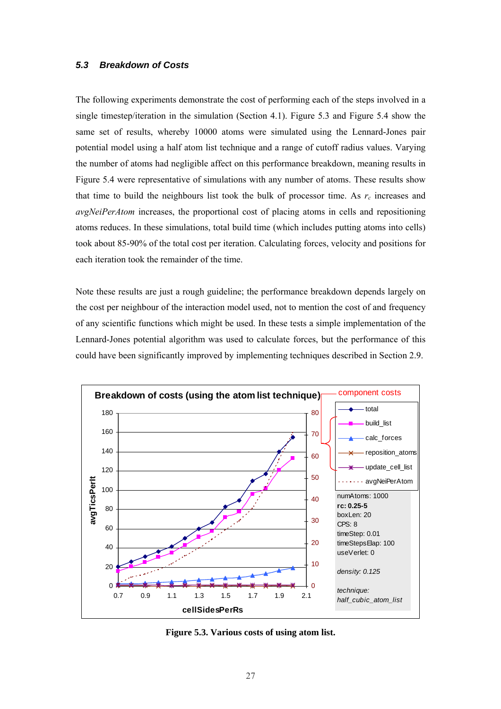#### <span id="page-35-0"></span>*5.3 Breakdown of Costs*

The following experiments demonstrate the cost of performing each of the steps involved in a single timestep/iteration in the simulation (Section [4.1\)](#page-30-1). [Figure 5.3](#page-35-1) and [Figure 5.4](#page-36-1) show the same set of results, whereby 10000 atoms were simulated using the Lennard-Jones pair potential model using a half atom list technique and a range of cutoff radius values. Varying the number of atoms had negligible affect on this performance breakdown, meaning results in [Figure 5.4](#page-36-1) were representative of simulations with any number of atoms. These results show that time to build the neighbours list took the bulk of processor time. As  $r_c$  increases and *avgNeiPerAtom* increases, the proportional cost of placing atoms in cells and repositioning atoms reduces. In these simulations, total build time (which includes putting atoms into cells) took about 85-90% of the total cost per iteration. Calculating forces, velocity and positions for each iteration took the remainder of the time.

Note these results are just a rough guideline; the performance breakdown depends largely on the cost per neighbour of the interaction model used, not to mention the cost of and frequency of any scientific functions which might be used. In these tests a simple implementation of the Lennard-Jones potential algorithm was used to calculate forces, but the performance of this could have been significantly improved by implementing techniques described in Section [2.9.](#page-17-0)



<span id="page-35-1"></span>**Figure 5.3. Various costs of using atom list.**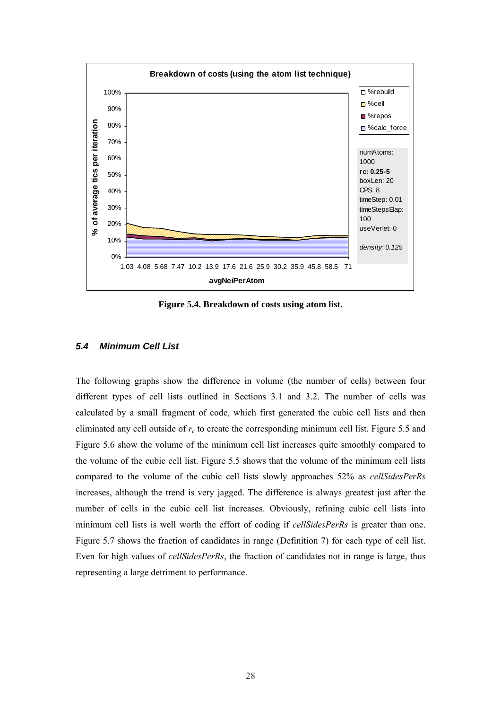

**Figure 5.4. Breakdown of costs using atom list.** 

## *5.4 Minimum Cell List*

The following graphs show the difference in volume (the number of cells) between four different types of cell lists outlined in Sections [3.1](#page-22-0) and [3.2.](#page-23-0) The number of cells was calculated by a small fragment of code, which first generated the cubic cell lists and then eliminated any cell outside of *rc* to create the corresponding minimum cell list. [Figure 5.5 a](#page-37-0)nd [Figure 5.6](#page-37-1) show the volume of the minimum cell list increases quite smoothly compared to the volume of the cubic cell list. [Figure 5.5](#page-37-0) shows that the volume of the minimum cell lists compared to the volume of the cubic cell lists slowly approaches 52% as *cellSidesPerRs* increases, although the trend is very jagged. The difference is always greatest just after the number of cells in the cubic cell list increases. Obviously, refining cubic cell lists into minimum cell lists is well worth the effort of coding if *cellSidesPerRs* is greater than one. [Figure 5.7](#page-38-0) shows the fraction of candidates in range ([Definition 7\)](#page-21-0) for each type of cell list. Even for high values of *cellSidesPerRs*, the fraction of candidates not in range is large, thus representing a large detriment to performance.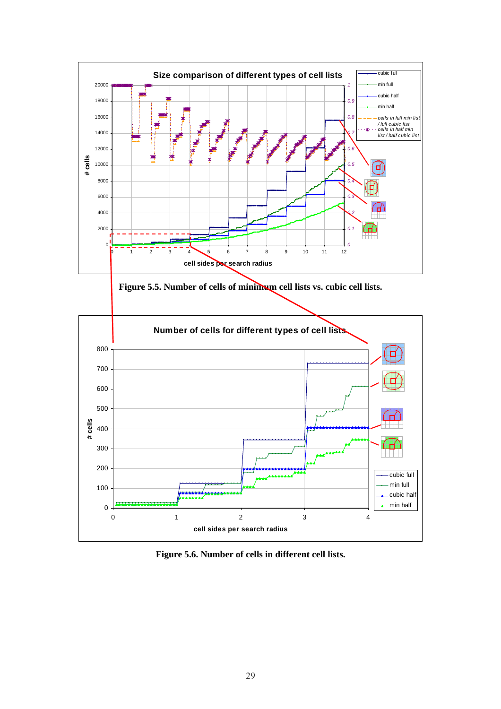

<span id="page-37-0"></span>**Figure 5.5. Number of cells of minimum cell lists vs. cubic cell lists.** 



<span id="page-37-1"></span>**Figure 5.6. Number of cells in different cell lists.**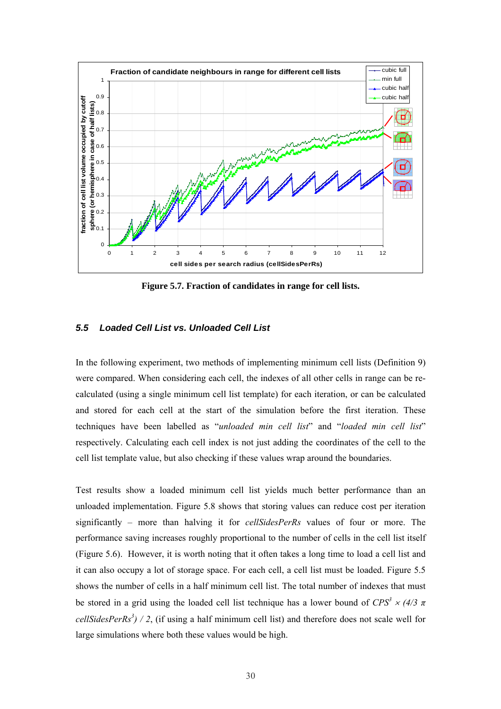

<span id="page-38-0"></span>**Figure 5.7. Fraction of candidates in range for cell lists.** 

## *5.5 Loaded Cell List vs. Unloaded Cell List*

In the following experiment, two methods of implementing minimum cell lists ([Definition 9\)](#page-22-1) were compared. When considering each cell, the indexes of all other cells in range can be recalculated (using a single minimum cell list template) for each iteration, or can be calculated and stored for each cell at the start of the simulation before the first iteration. These techniques have been labelled as "*unloaded min cell list*" and "*loaded min cell list*" respectively. Calculating each cell index is not just adding the coordinates of the cell to the cell list template value, but also checking if these values wrap around the boundaries.

Test results show a loaded minimum cell list yields much better performance than an unloaded implementation. [Figure 5.8](#page-39-0) shows that storing values can reduce cost per iteration significantly – more than halving it for *cellSidesPerRs* values of four or more. The performance saving increases roughly proportional to the number of cells in the cell list itself ([Figure 5.6\)](#page-37-1). However, it is worth noting that it often takes a long time to load a cell list and it can also occupy a lot of storage space. For each cell, a cell list must be loaded. [Figure 5.5](#page-37-0)  shows the number of cells in a half minimum cell list. The total number of indexes that must be stored in a grid using the loaded cell list technique has a lower bound of  $CPS^3 \times (4/3 \pi)$ *cellSidesPerRs*<sup>3</sup> $)$  / 2, (if using a half minimum cell list) and therefore does not scale well for large simulations where both these values would be high.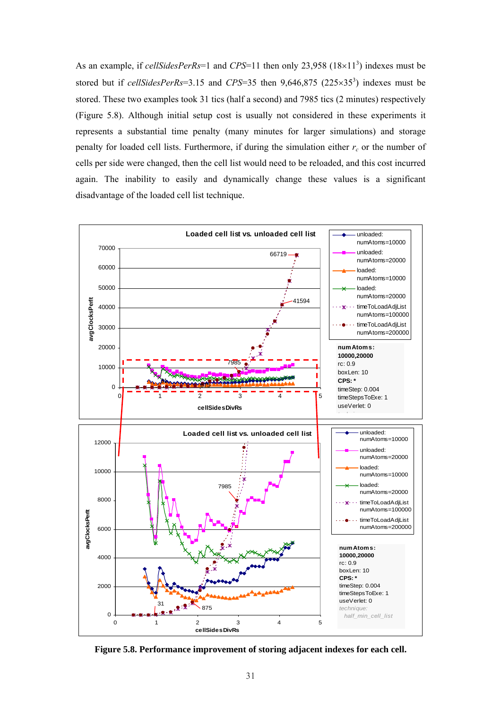As an example, if *cellSidesPerRs*=1 and *CPS*=11 then only 23,958 (18×11<sup>3</sup>) indexes must be stored but if *cellSidesPerRs*=3.15 and *CPS*=35 then  $9,646,875$  (225×35<sup>3</sup>) indexes must be stored. These two examples took 31 tics (half a second) and 7985 tics (2 minutes) respectively ([Figure 5.8\)](#page-39-0). Although initial setup cost is usually not considered in these experiments it represents a substantial time penalty (many minutes for larger simulations) and storage penalty for loaded cell lists. Furthermore, if during the simulation either  $r_c$  or the number of cells per side were changed, then the cell list would need to be reloaded, and this cost incurred again. The inability to easily and dynamically change these values is a significant disadvantage of the loaded cell list technique.



<span id="page-39-0"></span>**Figure 5.8. Performance improvement of storing adjacent indexes for each cell.**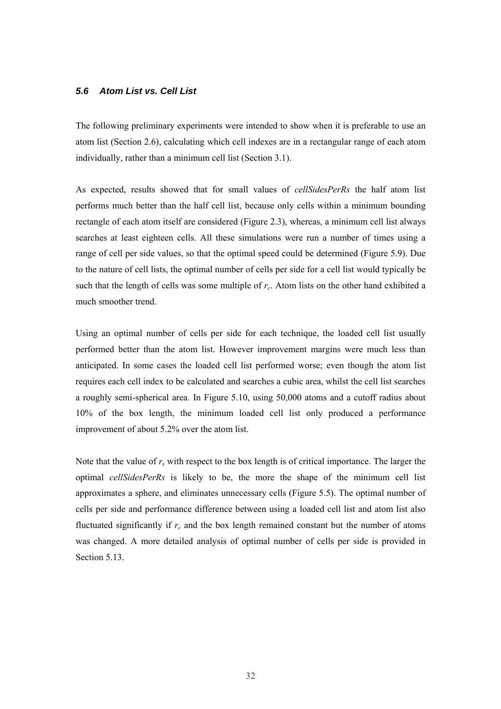## *5.6 Atom List vs. Cell List*

The following preliminary experiments were intended to show when it is preferable to use an atom list (Section [2.6\)](#page-15-0), calculating which cell indexes are in a rectangular range of each atom individually, rather than a minimum cell list (Section [3.1\)](#page-22-0).

As expected, results showed that for small values of *cellSidesPerRs* the half atom list performs much better than the half cell list, because only cells within a minimum bounding rectangle of each atom itself are considered ([Figure 2.3\)](#page-15-1), whereas, a minimum cell list always searches at least eighteen cells. All these simulations were run a number of times using a range of cell per side values, so that the optimal speed could be determined ([Figure 5.9\)](#page-41-0). Due to the nature of cell lists, the optimal number of cells per side for a cell list would typically be such that the length of cells was some multiple of *rc*. Atom lists on the other hand exhibited a much smoother trend.

Using an optimal number of cells per side for each technique, the loaded cell list usually performed better than the atom list. However improvement margins were much less than anticipated. In some cases the loaded cell list performed worse; even though the atom list requires each cell index to be calculated and searches a cubic area, whilst the cell list searches a roughly semi-spherical area. In [Figure 5.10,](#page-41-1) using 50,000 atoms and a cutoff radius about 10% of the box length, the minimum loaded cell list only produced a performance improvement of about 5.2% over the atom list.

Note that the value of  $r<sub>s</sub>$  with respect to the box length is of critical importance. The larger the optimal *cellSidesPerRs* is likely to be, the more the shape of the minimum cell list approximates a sphere, and eliminates unnecessary cells ([Figure 5.5\)](#page-37-0). The optimal number of cells per side and performance difference between using a loaded cell list and atom list also fluctuated significantly if  $r_c$  and the box length remained constant but the number of atoms was changed. A more detailed analysis of optimal number of cells per side is provided in Section [5.13.](#page-53-0)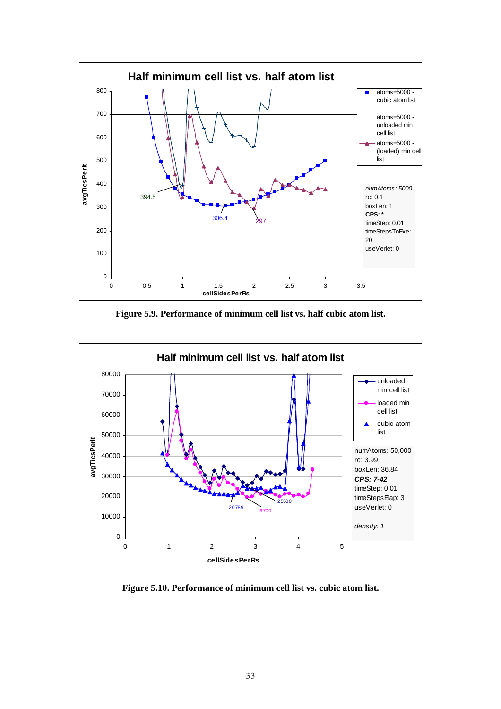

<span id="page-41-0"></span>**Figure 5.9. Performance of minimum cell list vs. half cubic atom list.** 



<span id="page-41-1"></span>**Figure 5.10. Performance of minimum cell list vs. cubic atom list.**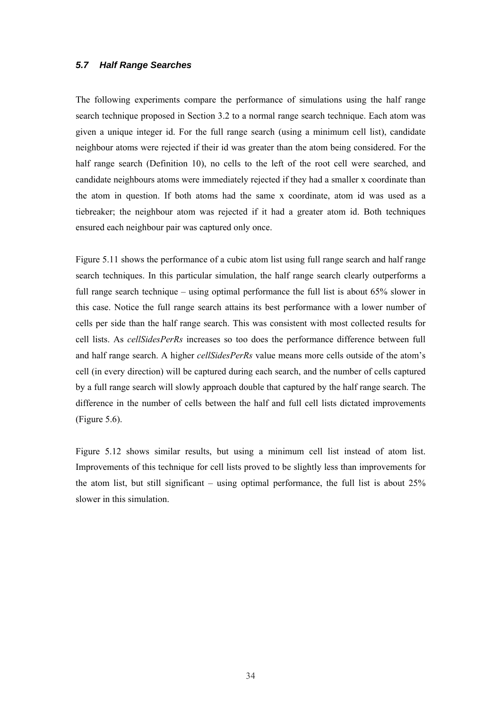## *5.7 Half Range Searches*

The following experiments compare the performance of simulations using the half range search technique proposed in Section [3.2 t](#page-23-0)o a normal range search technique. Each atom was given a unique integer id. For the full range search (using a minimum cell list), candidate neighbour atoms were rejected if their id was greater than the atom being considered. For the half range search ([Definition 10\)](#page-23-1), no cells to the left of the root cell were searched, and candidate neighbours atoms were immediately rejected if they had a smaller x coordinate than the atom in question. If both atoms had the same x coordinate, atom id was used as a tiebreaker; the neighbour atom was rejected if it had a greater atom id. Both techniques ensured each neighbour pair was captured only once.

[Figure 5.11 s](#page-43-0)hows the performance of a cubic atom list using full range search and half range search techniques. In this particular simulation, the half range search clearly outperforms a full range search technique – using optimal performance the full list is about 65% slower in this case. Notice the full range search attains its best performance with a lower number of cells per side than the half range search. This was consistent with most collected results for cell lists. As *cellSidesPerRs* increases so too does the performance difference between full and half range search. A higher *cellSidesPerRs* value means more cells outside of the atom's cell (in every direction) will be captured during each search, and the number of cells captured by a full range search will slowly approach double that captured by the half range search. The difference in the number of cells between the half and full cell lists dictated improvements ([Figure 5.6\)](#page-37-1).

[Figure 5.12](#page-43-1) shows similar results, but using a minimum cell list instead of atom list. Improvements of this technique for cell lists proved to be slightly less than improvements for the atom list, but still significant – using optimal performance, the full list is about 25% slower in this simulation.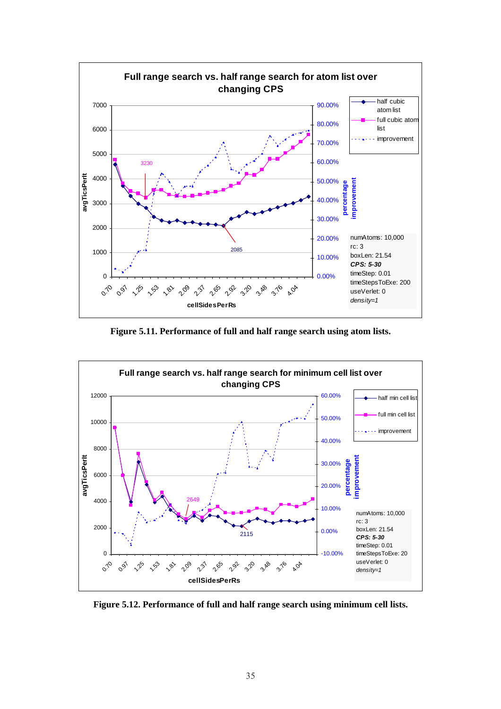

<span id="page-43-0"></span>**Figure 5.11. Performance of full and half range search using atom lists.** 



<span id="page-43-1"></span>**Figure 5.12. Performance of full and half range search using minimum cell lists.**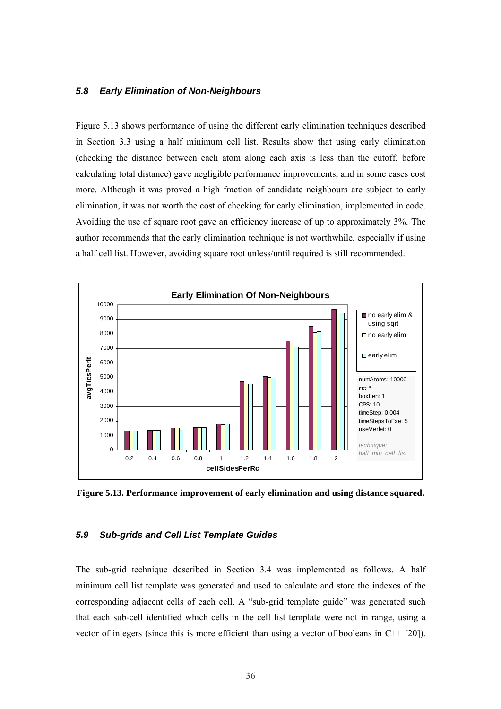#### *5.8 Early Elimination of Non-Neighbours*

[Figure 5.13](#page-44-0) shows performance of using the different early elimination techniques described in Section [3.3](#page-24-0) using a half minimum cell list. Results show that using early elimination (checking the distance between each atom along each axis is less than the cutoff, before calculating total distance) gave negligible performance improvements, and in some cases cost more. Although it was proved a high fraction of candidate neighbours are subject to early elimination, it was not worth the cost of checking for early elimination, implemented in code. Avoiding the use of square root gave an efficiency increase of up to approximately 3%. The author recommends that the early elimination technique is not worthwhile, especially if using a half cell list. However, avoiding square root unless/until required is still recommended.



<span id="page-44-0"></span>**Figure 5.13. Performance improvement of early elimination and using distance squared.** 

#### *5.9 Sub-grids and Cell List Template Guides*

The sub-grid technique described in Section [3.4](#page-25-0) was implemented as follows. A half minimum cell list template was generated and used to calculate and store the indexes of the corresponding adjacent cells of each cell. A "sub-grid template guide" was generated such that each sub-cell identified which cells in the cell list template were not in range, using a vector of integers (since this is more efficient than using a vector of booleans in C++ [20]).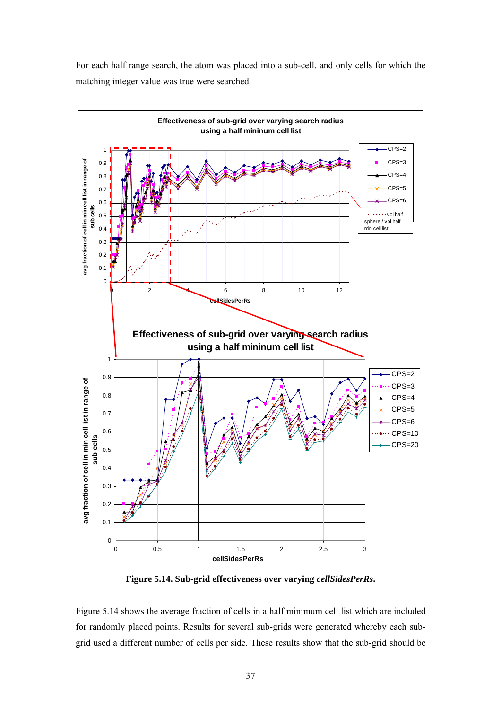For each half range search, the atom was placed into a sub-cell, and only cells for which the matching integer value was true were searched.



<span id="page-45-0"></span>**Figure 5.14. Sub-grid effectiveness over varying** *cellSidesPerRs***.** 

[Figure 5.14 s](#page-45-0)hows the average fraction of cells in a half minimum cell list which are included for randomly placed points. Results for several sub-grids were generated whereby each subgrid used a different number of cells per side. These results show that the sub-grid should be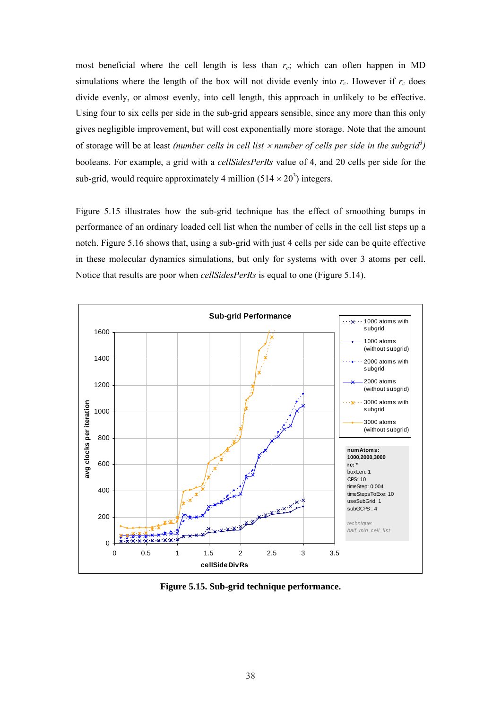most beneficial where the cell length is less than  $r_c$ ; which can often happen in MD simulations where the length of the box will not divide evenly into  $r_c$ . However if  $r_c$  does divide evenly, or almost evenly, into cell length, this approach in unlikely to be effective. Using four to six cells per side in the sub-grid appears sensible, since any more than this only gives negligible improvement, but will cost exponentially more storage. Note that the amount of storage will be at least *(number cells in cell list* × *number of cells per side in the subgrid<sup>3</sup> )*  booleans. For example, a grid with a *cellSidesPerRs* value of 4, and 20 cells per side for the sub-grid, would require approximately 4 million  $(514 \times 20^3)$  integers.

[Figure 5.15](#page-46-0) illustrates how the sub-grid technique has the effect of smoothing bumps in performance of an ordinary loaded cell list when the number of cells in the cell list steps up a notch. [Figure 5.16 s](#page-47-0)hows that, using a sub-grid with just 4 cells per side can be quite effective in these molecular dynamics simulations, but only for systems with over 3 atoms per cell. Notice that results are poor when *cellSidesPerRs* is equal to one ([Figure 5.14\)](#page-45-0).



<span id="page-46-0"></span>**Figure 5.15. Sub-grid technique performance.**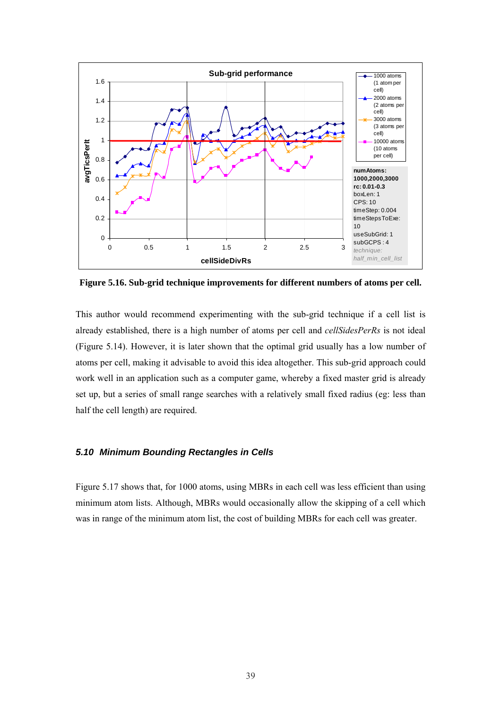

<span id="page-47-0"></span>**Figure 5.16. Sub-grid technique improvements for different numbers of atoms per cell.** 

This author would recommend experimenting with the sub-grid technique if a cell list is already established, there is a high number of atoms per cell and *cellSidesPerRs* is not ideal ([Figure 5.14\)](#page-45-0). However, it is later shown that the optimal grid usually has a low number of atoms per cell, making it advisable to avoid this idea altogether. This sub-grid approach could work well in an application such as a computer game, whereby a fixed master grid is already set up, but a series of small range searches with a relatively small fixed radius (eg: less than half the cell length) are required.

## *5.10 Minimum Bounding Rectangles in Cells*

[Figure 5.17 s](#page-48-0)hows that, for 1000 atoms, using MBRs in each cell was less efficient than using minimum atom lists. Although, MBRs would occasionally allow the skipping of a cell which was in range of the minimum atom list, the cost of building MBRs for each cell was greater.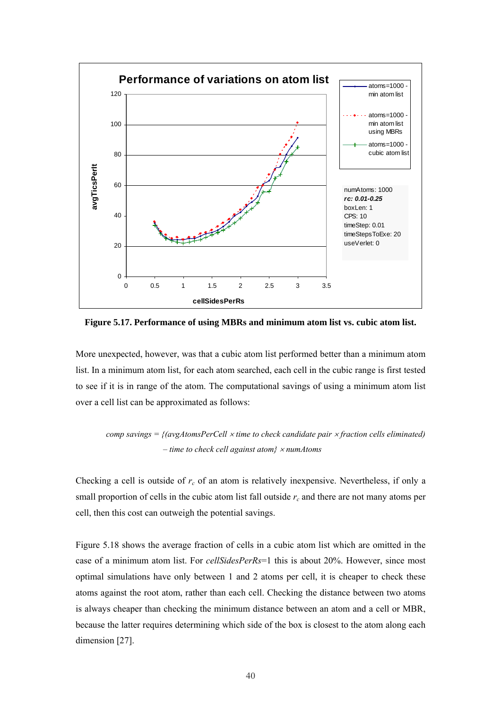

<span id="page-48-0"></span>**Figure 5.17. Performance of using MBRs and minimum atom list vs. cubic atom list.** 

More unexpected, however, was that a cubic atom list performed better than a minimum atom list. In a minimum atom list, for each atom searched, each cell in the cubic range is first tested to see if it is in range of the atom. The computational savings of using a minimum atom list over a cell list can be approximated as follows:

```
comp savings = {(avgAtomsPerCell × time to check candidate pair × fraction cells eliminated) 
    – time to check cell against atom} × numAtoms
```
Checking a cell is outside of *rc* of an atom is relatively inexpensive. Nevertheless, if only a small proportion of cells in the cubic atom list fall outside  $r_c$  and there are not many atoms per cell, then this cost can outweigh the potential savings.

[Figure 5.18](#page-49-0) shows the average fraction of cells in a cubic atom list which are omitted in the case of a minimum atom list. For *cellSidesPerRs*=1 this is about 20%. However, since most optimal simulations have only between 1 and 2 atoms per cell, it is cheaper to check these atoms against the root atom, rather than each cell. Checking the distance between two atoms is always cheaper than checking the minimum distance between an atom and a cell or MBR, because the latter requires determining which side of the box is closest to the atom along each dimension [27].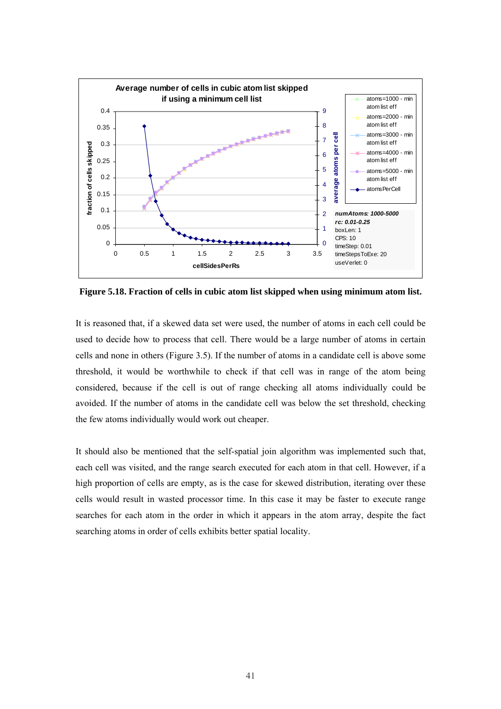

<span id="page-49-0"></span>**Figure 5.18. Fraction of cells in cubic atom list skipped when using minimum atom list.** 

It is reasoned that, if a skewed data set were used, the number of atoms in each cell could be used to decide how to process that cell. There would be a large number of atoms in certain cells and none in others ([Figure 3.5\)](#page-27-0). If the number of atoms in a candidate cell is above some threshold, it would be worthwhile to check if that cell was in range of the atom being considered, because if the cell is out of range checking all atoms individually could be avoided. If the number of atoms in the candidate cell was below the set threshold, checking the few atoms individually would work out cheaper.

It should also be mentioned that the self-spatial join algorithm was implemented such that, each cell was visited, and the range search executed for each atom in that cell. However, if a high proportion of cells are empty, as is the case for skewed distribution, iterating over these cells would result in wasted processor time. In this case it may be faster to execute range searches for each atom in the order in which it appears in the atom array, despite the fact searching atoms in order of cells exhibits better spatial locality.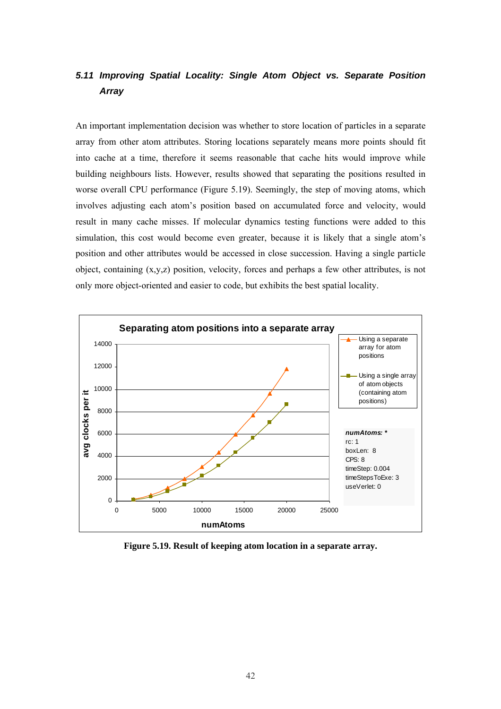## *5.11 Improving Spatial Locality: Single Atom Object vs. Separate Position Array*

An important implementation decision was whether to store location of particles in a separate array from other atom attributes. Storing locations separately means more points should fit into cache at a time, therefore it seems reasonable that cache hits would improve while building neighbours lists. However, results showed that separating the positions resulted in worse overall CPU performance ([Figure 5.19\)](#page-50-0). Seemingly, the step of moving atoms, which involves adjusting each atom's position based on accumulated force and velocity, would result in many cache misses. If molecular dynamics testing functions were added to this simulation, this cost would become even greater, because it is likely that a single atom's position and other attributes would be accessed in close succession. Having a single particle object, containing (x,y,z) position, velocity, forces and perhaps a few other attributes, is not only more object-oriented and easier to code, but exhibits the best spatial locality.



<span id="page-50-0"></span>**Figure 5.19. Result of keeping atom location in a separate array.**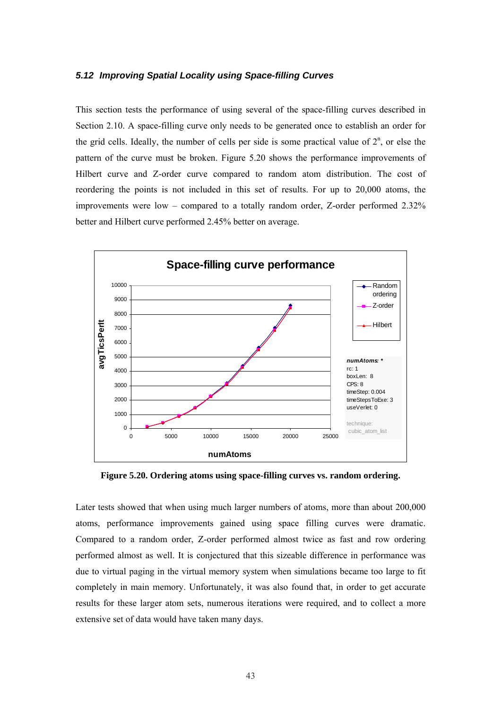#### *5.12 Improving Spatial Locality using Space-filling Curves*

This section tests the performance of using several of the space-filling curves described in Section [2.10.](#page-18-0) A space-filling curve only needs to be generated once to establish an order for the grid cells. Ideally, the number of cells per side is some practical value of  $2<sup>n</sup>$ , or else the pattern of the curve must be broken. [Figure 5.20](#page-51-0) shows the performance improvements of Hilbert curve and Z-order curve compared to random atom distribution. The cost of reordering the points is not included in this set of results. For up to 20,000 atoms, the improvements were low – compared to a totally random order, Z-order performed 2.32% better and Hilbert curve performed 2.45% better on average.



<span id="page-51-0"></span>**Figure 5.20. Ordering atoms using space-filling curves vs. random ordering.** 

Later tests showed that when using much larger numbers of atoms, more than about 200,000 atoms, performance improvements gained using space filling curves were dramatic. Compared to a random order, Z-order performed almost twice as fast and row ordering performed almost as well. It is conjectured that this sizeable difference in performance was due to virtual paging in the virtual memory system when simulations became too large to fit completely in main memory. Unfortunately, it was also found that, in order to get accurate results for these larger atom sets, numerous iterations were required, and to collect a more extensive set of data would have taken many days.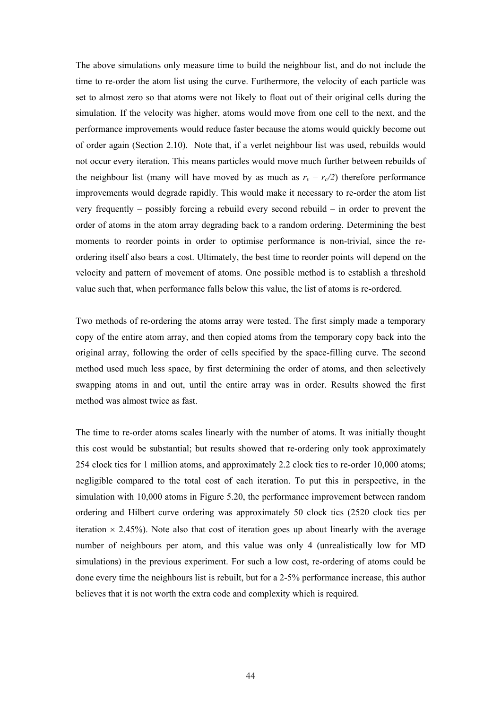The above simulations only measure time to build the neighbour list, and do not include the time to re-order the atom list using the curve. Furthermore, the velocity of each particle was set to almost zero so that atoms were not likely to float out of their original cells during the simulation. If the velocity was higher, atoms would move from one cell to the next, and the performance improvements would reduce faster because the atoms would quickly become out of order again (Section [2.10\)](#page-18-0). Note that, if a verlet neighbour list was used, rebuilds would not occur every iteration. This means particles would move much further between rebuilds of the neighbour list (many will have moved by as much as  $r_v - r_c/2$ ) therefore performance improvements would degrade rapidly. This would make it necessary to re-order the atom list very frequently – possibly forcing a rebuild every second rebuild – in order to prevent the order of atoms in the atom array degrading back to a random ordering. Determining the best moments to reorder points in order to optimise performance is non-trivial, since the reordering itself also bears a cost. Ultimately, the best time to reorder points will depend on the velocity and pattern of movement of atoms. One possible method is to establish a threshold value such that, when performance falls below this value, the list of atoms is re-ordered.

Two methods of re-ordering the atoms array were tested. The first simply made a temporary copy of the entire atom array, and then copied atoms from the temporary copy back into the original array, following the order of cells specified by the space-filling curve. The second method used much less space, by first determining the order of atoms, and then selectively swapping atoms in and out, until the entire array was in order. Results showed the first method was almost twice as fast.

The time to re-order atoms scales linearly with the number of atoms. It was initially thought this cost would be substantial; but results showed that re-ordering only took approximately 254 clock tics for 1 million atoms, and approximately 2.2 clock tics to re-order 10,000 atoms; negligible compared to the total cost of each iteration. To put this in perspective, in the simulation with 10,000 atoms in [Figure 5.20,](#page-51-0) the performance improvement between random ordering and Hilbert curve ordering was approximately 50 clock tics (2520 clock tics per iteration  $\times$  2.45%). Note also that cost of iteration goes up about linearly with the average number of neighbours per atom, and this value was only 4 (unrealistically low for MD simulations) in the previous experiment. For such a low cost, re-ordering of atoms could be done every time the neighbours list is rebuilt, but for a 2-5% performance increase, this author believes that it is not worth the extra code and complexity which is required.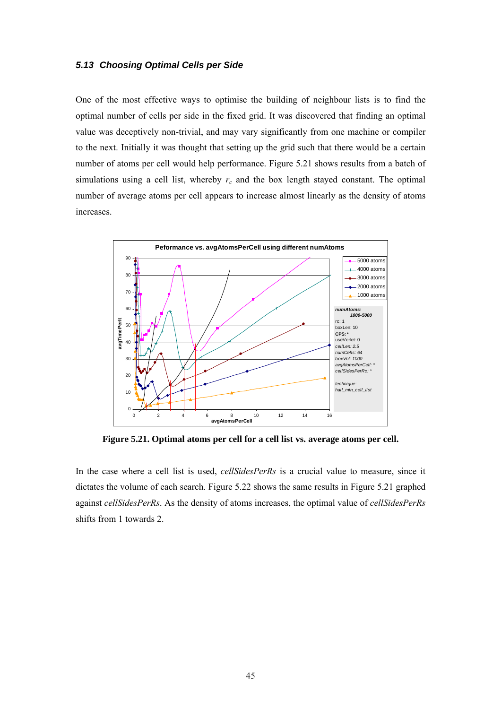## <span id="page-53-0"></span>*5.13 Choosing Optimal Cells per Side*

One of the most effective ways to optimise the building of neighbour lists is to find the optimal number of cells per side in the fixed grid. It was discovered that finding an optimal value was deceptively non-trivial, and may vary significantly from one machine or compiler to the next. Initially it was thought that setting up the grid such that there would be a certain number of atoms per cell would help performance. [Figure 5.21](#page-53-1) shows results from a batch of simulations using a cell list, whereby  $r_c$  and the box length stayed constant. The optimal number of average atoms per cell appears to increase almost linearly as the density of atoms increases.



<span id="page-53-1"></span>**Figure 5.21. Optimal atoms per cell for a cell list vs. average atoms per cell.** 

In the case where a cell list is used, *cellSidesPerRs* is a crucial value to measure, since it dictates the volume of each search. [Figure 5.22](#page-54-0) shows the same results in [Figure 5.21](#page-53-1) graphed against *cellSidesPerRs*. As the density of atoms increases, the optimal value of *cellSidesPerRs* shifts from 1 towards 2.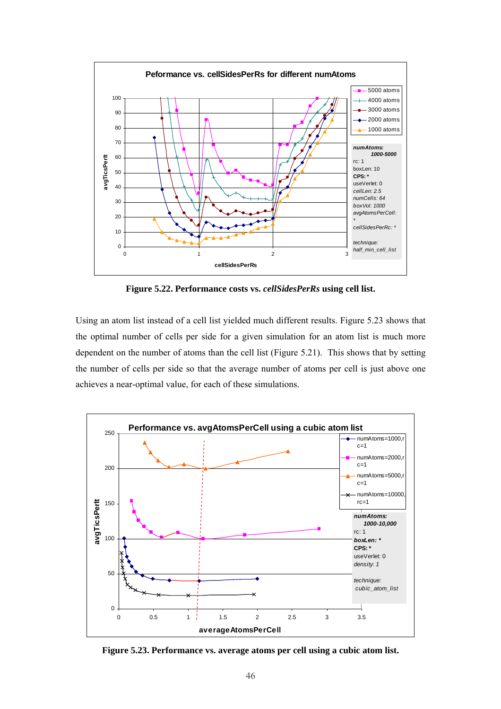

<span id="page-54-0"></span>**Figure 5.22. Performance costs vs.** *cellSidesPerRs* **using cell list.** 

Using an atom list instead of a cell list yielded much different results. [Figure 5.23](#page-54-1) shows that the optimal number of cells per side for a given simulation for an atom list is much more dependent on the number of atoms than the cell list [\(Figure 5.21\)](#page-53-1). This shows that by setting the number of cells per side so that the average number of atoms per cell is just above one achieves a near-optimal value, for each of these simulations.



<span id="page-54-1"></span>**Figure 5.23. Performance vs. average atoms per cell using a cubic atom list.**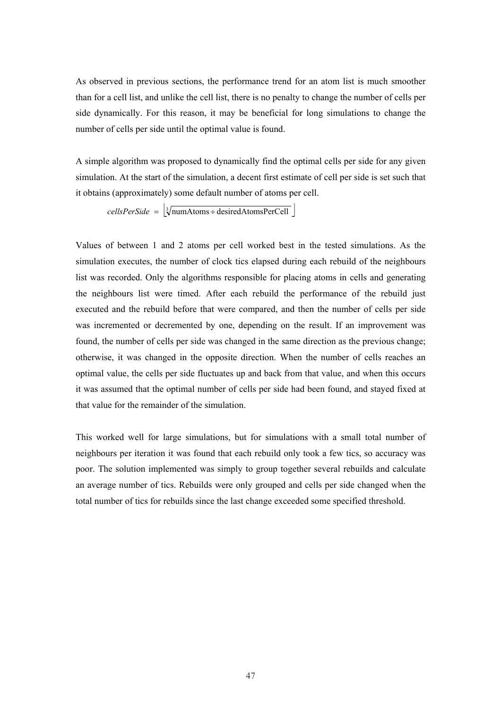As observed in previous sections, the performance trend for an atom list is much smoother than for a cell list, and unlike the cell list, there is no penalty to change the number of cells per side dynamically. For this reason, it may be beneficial for long simulations to change the number of cells per side until the optimal value is found.

A simple algorithm was proposed to dynamically find the optimal cells per side for any given simulation. At the start of the simulation, a decent first estimate of cell per side is set such that it obtains (approximately) some default number of atoms per cell.

 $cellsPerSide = |\sqrt[3]{\text{numAtoms} + \text{desiredAtomsPerCell}}|$ 

Values of between 1 and 2 atoms per cell worked best in the tested simulations. As the simulation executes, the number of clock tics elapsed during each rebuild of the neighbours list was recorded. Only the algorithms responsible for placing atoms in cells and generating the neighbours list were timed. After each rebuild the performance of the rebuild just executed and the rebuild before that were compared, and then the number of cells per side was incremented or decremented by one, depending on the result. If an improvement was found, the number of cells per side was changed in the same direction as the previous change; otherwise, it was changed in the opposite direction. When the number of cells reaches an optimal value, the cells per side fluctuates up and back from that value, and when this occurs it was assumed that the optimal number of cells per side had been found, and stayed fixed at that value for the remainder of the simulation.

This worked well for large simulations, but for simulations with a small total number of neighbours per iteration it was found that each rebuild only took a few tics, so accuracy was poor. The solution implemented was simply to group together several rebuilds and calculate an average number of tics. Rebuilds were only grouped and cells per side changed when the total number of tics for rebuilds since the last change exceeded some specified threshold.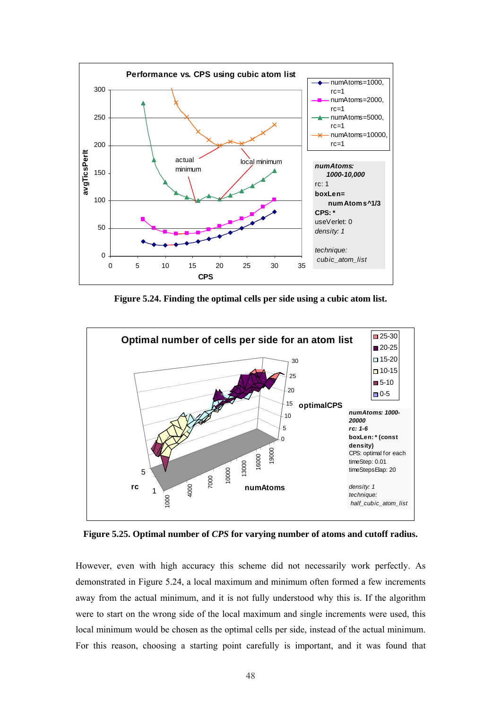

<span id="page-56-0"></span>**Figure 5.24. Finding the optimal cells per side using a cubic atom list.** 



<span id="page-56-1"></span>**Figure 5.25. Optimal number of** *CPS* **for varying number of atoms and cutoff radius.** 

However, even with high accuracy this scheme did not necessarily work perfectly. As demonstrated in [Figure 5.24,](#page-56-0) a local maximum and minimum often formed a few increments away from the actual minimum, and it is not fully understood why this is. If the algorithm were to start on the wrong side of the local maximum and single increments were used, this local minimum would be chosen as the optimal cells per side, instead of the actual minimum. For this reason, choosing a starting point carefully is important, and it was found that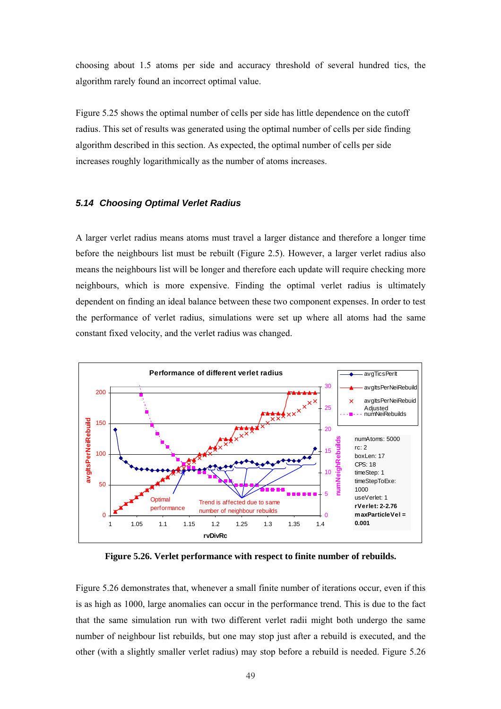choosing about 1.5 atoms per side and accuracy threshold of several hundred tics, the algorithm rarely found an incorrect optimal value.

[Figure 5.25](#page-56-1) shows the optimal number of cells per side has little dependence on the cutoff radius. This set of results was generated using the optimal number of cells per side finding algorithm described in this section. As expected, the optimal number of cells per side increases roughly logarithmically as the number of atoms increases.

#### *5.14 Choosing Optimal Verlet Radius*

A larger verlet radius means atoms must travel a larger distance and therefore a longer time before the neighbours list must be rebuilt ([Figure 2.5\)](#page-17-0). However, a larger verlet radius also means the neighbours list will be longer and therefore each update will require checking more neighbours, which is more expensive. Finding the optimal verlet radius is ultimately dependent on finding an ideal balance between these two component expenses. In order to test the performance of verlet radius, simulations were set up where all atoms had the same constant fixed velocity, and the verlet radius was changed.



<span id="page-57-0"></span>**Figure 5.26. Verlet performance with respect to finite number of rebuilds.** 

[Figure 5.26 d](#page-57-0)emonstrates that, whenever a small finite number of iterations occur, even if this is as high as 1000, large anomalies can occur in the performance trend. This is due to the fact that the same simulation run with two different verlet radii might both undergo the same number of neighbour list rebuilds, but one may stop just after a rebuild is executed, and the other (with a slightly smaller verlet radius) may stop before a rebuild is needed. [Figure 5.26](#page-57-0)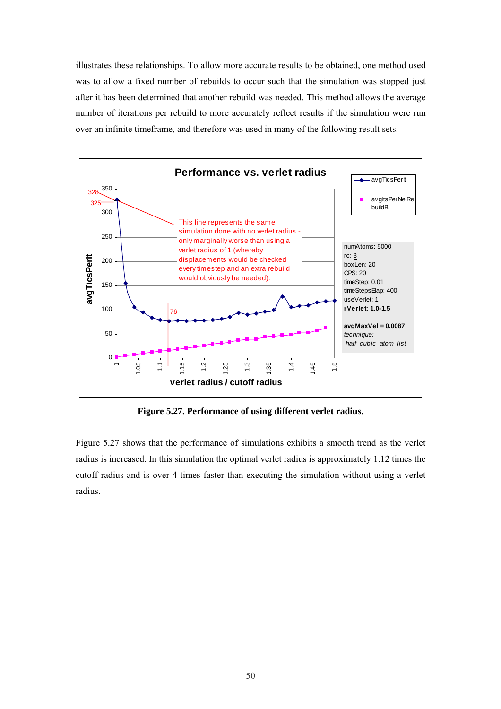illustrates these relationships. To allow more accurate results to be obtained, one method used was to allow a fixed number of rebuilds to occur such that the simulation was stopped just after it has been determined that another rebuild was needed. This method allows the average number of iterations per rebuild to more accurately reflect results if the simulation were run over an infinite timeframe, and therefore was used in many of the following result sets.



<span id="page-58-0"></span>**Figure 5.27. Performance of using different verlet radius.** 

[Figure 5.27](#page-58-0) shows that the performance of simulations exhibits a smooth trend as the verlet radius is increased. In this simulation the optimal verlet radius is approximately 1.12 times the cutoff radius and is over 4 times faster than executing the simulation without using a verlet radius.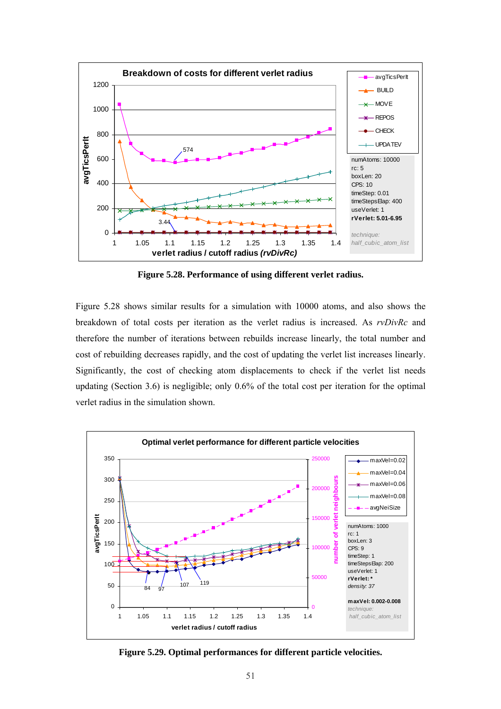

<span id="page-59-0"></span>**Figure 5.28. Performance of using different verlet radius.** 

[Figure 5.28](#page-59-0) shows similar results for a simulation with 10000 atoms, and also shows the breakdown of total costs per iteration as the verlet radius is increased. As *rvDivRc* and therefore the number of iterations between rebuilds increase linearly, the total number and cost of rebuilding decreases rapidly, and the cost of updating the verlet list increases linearly. Significantly, the cost of checking atom displacements to check if the verlet list needs updating (Section [3.6\)](#page-27-1) is negligible; only 0.6% of the total cost per iteration for the optimal verlet radius in the simulation shown.



<span id="page-59-1"></span>**Figure 5.29. Optimal performances for different particle velocities.**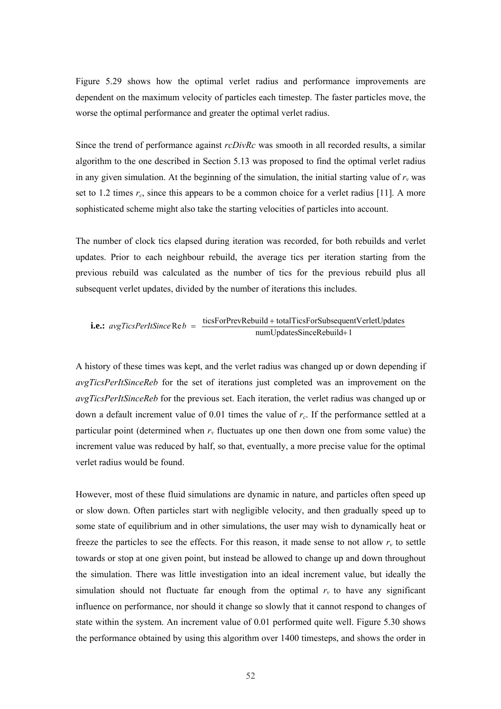[Figure 5.29](#page-59-1) shows how the optimal verlet radius and performance improvements are dependent on the maximum velocity of particles each timestep. The faster particles move, the worse the optimal performance and greater the optimal verlet radius.

Since the trend of performance against *rcDivRc* was smooth in all recorded results, a similar algorithm to the one described in Section [5.13](#page-53-0) was proposed to find the optimal verlet radius in any given simulation. At the beginning of the simulation, the initial starting value of  $r<sub>v</sub>$  was set to 1.2 times  $r_c$ , since this appears to be a common choice for a verlet radius [11]. A more sophisticated scheme might also take the starting velocities of particles into account.

The number of clock tics elapsed during iteration was recorded, for both rebuilds and verlet updates. Prior to each neighbour rebuild, the average tics per iteration starting from the previous rebuild was calculated as the number of tics for the previous rebuild plus all subsequent verlet updates, divided by the number of iterations this includes.

i.e.: 
$$
avgTicsPerItSince \text{Re } b = \frac{ticsForPrevRebuild + totalTicsForSubsequentVerletUpdates  
numUpdatesSinceRebuild + 1
$$

A history of these times was kept, and the verlet radius was changed up or down depending if *avgTicsPerItSinceReb* for the set of iterations just completed was an improvement on the *avgTicsPerItSinceReb* for the previous set. Each iteration, the verlet radius was changed up or down a default increment value of 0.01 times the value of *rc*. If the performance settled at a particular point (determined when  $r<sub>v</sub>$  fluctuates up one then down one from some value) the increment value was reduced by half, so that, eventually, a more precise value for the optimal verlet radius would be found.

However, most of these fluid simulations are dynamic in nature, and particles often speed up or slow down. Often particles start with negligible velocity, and then gradually speed up to some state of equilibrium and in other simulations, the user may wish to dynamically heat or freeze the particles to see the effects. For this reason, it made sense to not allow  $r_v$  to settle towards or stop at one given point, but instead be allowed to change up and down throughout the simulation. There was little investigation into an ideal increment value, but ideally the simulation should not fluctuate far enough from the optimal  $r<sub>v</sub>$  to have any significant influence on performance, nor should it change so slowly that it cannot respond to changes of state within the system. An increment value of 0.01 performed quite well. [Figure 5.30](#page-61-0) shows the performance obtained by using this algorithm over 1400 timesteps, and shows the order in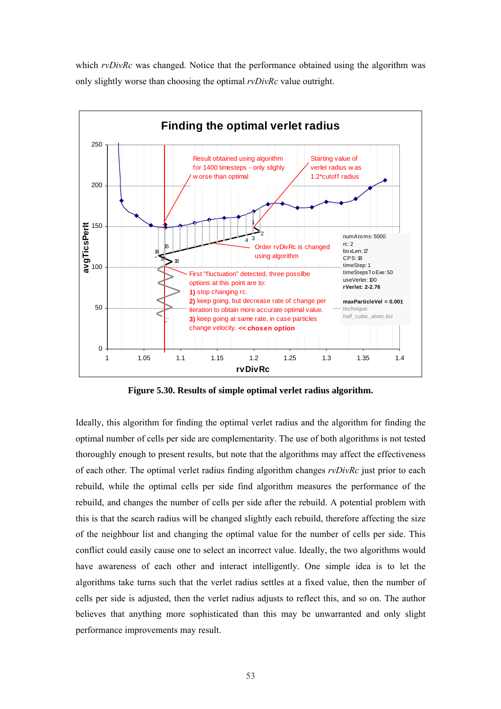which *rvDivRc* was changed. Notice that the performance obtained using the algorithm was only slightly worse than choosing the optimal *rvDivRc* value outright.



<span id="page-61-0"></span>**Figure 5.30. Results of simple optimal verlet radius algorithm.** 

Ideally, this algorithm for finding the optimal verlet radius and the algorithm for finding the optimal number of cells per side are complementarity. The use of both algorithms is not tested thoroughly enough to present results, but note that the algorithms may affect the effectiveness of each other. The optimal verlet radius finding algorithm changes *rvDivRc* just prior to each rebuild, while the optimal cells per side find algorithm measures the performance of the rebuild, and changes the number of cells per side after the rebuild. A potential problem with this is that the search radius will be changed slightly each rebuild, therefore affecting the size of the neighbour list and changing the optimal value for the number of cells per side. This conflict could easily cause one to select an incorrect value. Ideally, the two algorithms would have awareness of each other and interact intelligently. One simple idea is to let the algorithms take turns such that the verlet radius settles at a fixed value, then the number of cells per side is adjusted, then the verlet radius adjusts to reflect this, and so on. The author believes that anything more sophisticated than this may be unwarranted and only slight performance improvements may result.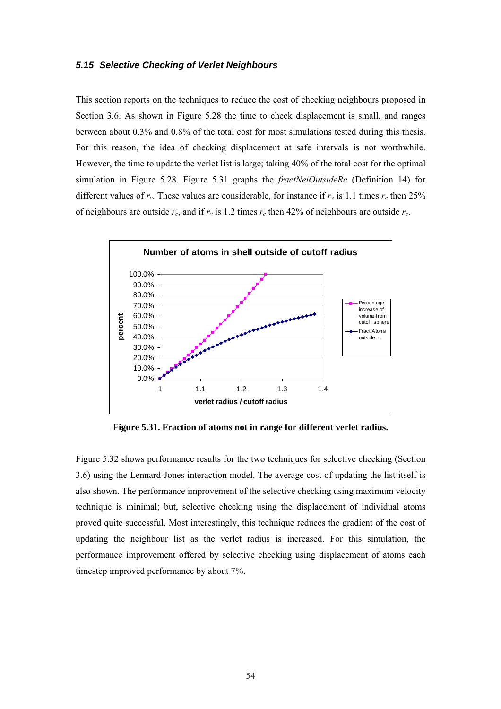#### *5.15 Selective Checking of Verlet Neighbours*

This section reports on the techniques to reduce the cost of checking neighbours proposed in Section [3.6.](#page-27-1) As shown in [Figure 5.28](#page-59-0) the time to check displacement is small, and ranges between about 0.3% and 0.8% of the total cost for most simulations tested during this thesis. For this reason, the idea of checking displacement at safe intervals is not worthwhile. However, the time to update the verlet list is large; taking 40% of the total cost for the optimal simulation in [Figure 5.28.](#page-59-0) [Figure 5.31](#page-62-0) graphs the *fractNeiOutsideRc* ([Definition 14\)](#page-28-0) for different values of  $r_v$ . These values are considerable, for instance if  $r_v$  is 1.1 times  $r_c$  then 25% of neighbours are outside  $r_c$ , and if  $r_v$  is 1.2 times  $r_c$  then 42% of neighbours are outside  $r_c$ .



<span id="page-62-0"></span>**Figure 5.31. Fraction of atoms not in range for different verlet radius.** 

[Figure 5.32](#page-63-0) shows performance results for the two techniques for selective checking (Section [3.6\)](#page-27-1) using the Lennard-Jones interaction model. The average cost of updating the list itself is also shown. The performance improvement of the selective checking using maximum velocity technique is minimal; but, selective checking using the displacement of individual atoms proved quite successful. Most interestingly, this technique reduces the gradient of the cost of updating the neighbour list as the verlet radius is increased. For this simulation, the performance improvement offered by selective checking using displacement of atoms each timestep improved performance by about 7%.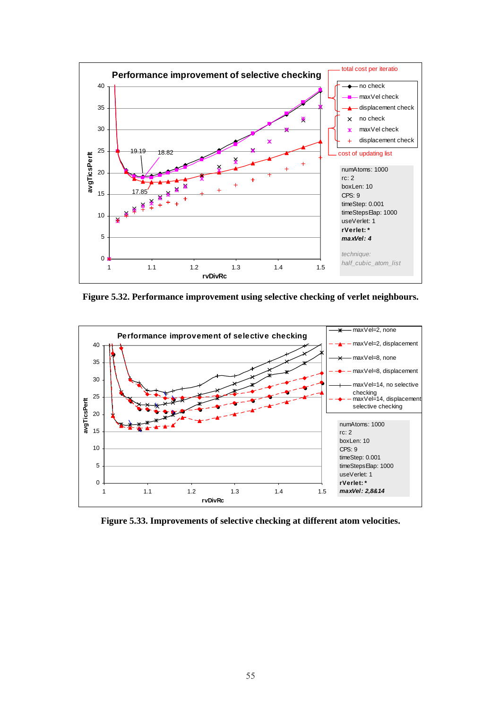

<span id="page-63-0"></span>**Figure 5.32. Performance improvement using selective checking of verlet neighbours.** 



<span id="page-63-1"></span>**Figure 5.33. Improvements of selective checking at different atom velocities.**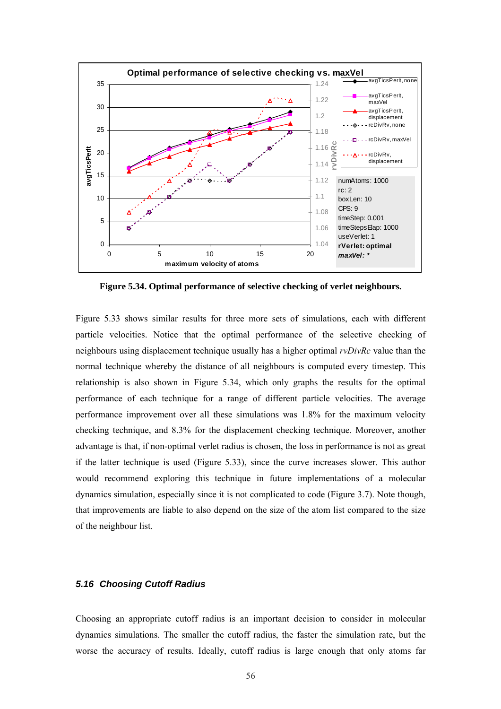

<span id="page-64-0"></span>**Figure 5.34. Optimal performance of selective checking of verlet neighbours.** 

[Figure 5.33](#page-63-1) shows similar results for three more sets of simulations, each with different particle velocities. Notice that the optimal performance of the selective checking of neighbours using displacement technique usually has a higher optimal *rvDivRc* value than the normal technique whereby the distance of all neighbours is computed every timestep. This relationship is also shown in [Figure 5.34,](#page-64-0) which only graphs the results for the optimal performance of each technique for a range of different particle velocities. The average performance improvement over all these simulations was 1.8% for the maximum velocity checking technique, and 8.3% for the displacement checking technique. Moreover, another advantage is that, if non-optimal verlet radius is chosen, the loss in performance is not as great if the latter technique is used ([Figure 5.33\)](#page-63-1), since the curve increases slower. This author would recommend exploring this technique in future implementations of a molecular dynamics simulation, especially since it is not complicated to code ([Figure 3.7\)](#page-29-0). Note though, that improvements are liable to also depend on the size of the atom list compared to the size of the neighbour list.

## *5.16 Choosing Cutoff Radius*

Choosing an appropriate cutoff radius is an important decision to consider in molecular dynamics simulations. The smaller the cutoff radius, the faster the simulation rate, but the worse the accuracy of results. Ideally, cutoff radius is large enough that only atoms far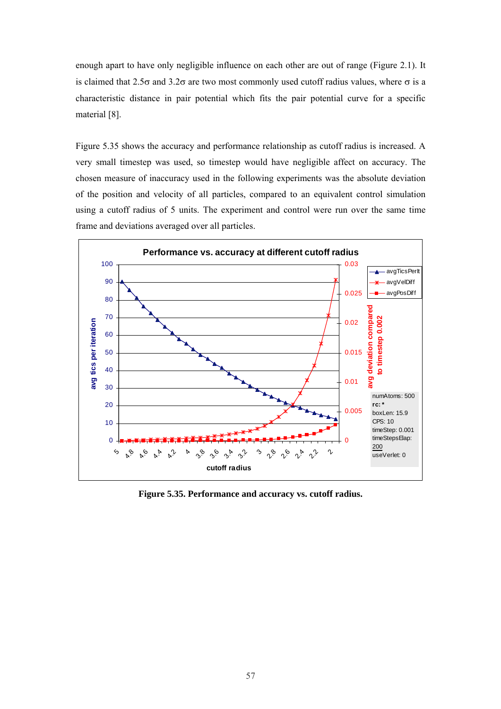enough apart to have only negligible influence on each other are out of range ([Figure 2.1\)](#page-13-0). It is claimed that  $2.5\sigma$  and  $3.2\sigma$  are two most commonly used cutoff radius values, where  $\sigma$  is a characteristic distance in pair potential which fits the pair potential curve for a specific material [8].

[Figure 5.35](#page-65-0) shows the accuracy and performance relationship as cutoff radius is increased. A very small timestep was used, so timestep would have negligible affect on accuracy. The chosen measure of inaccuracy used in the following experiments was the absolute deviation of the position and velocity of all particles, compared to an equivalent control simulation using a cutoff radius of 5 units. The experiment and control were run over the same time frame and deviations averaged over all particles.



<span id="page-65-0"></span>**Figure 5.35. Performance and accuracy vs. cutoff radius.**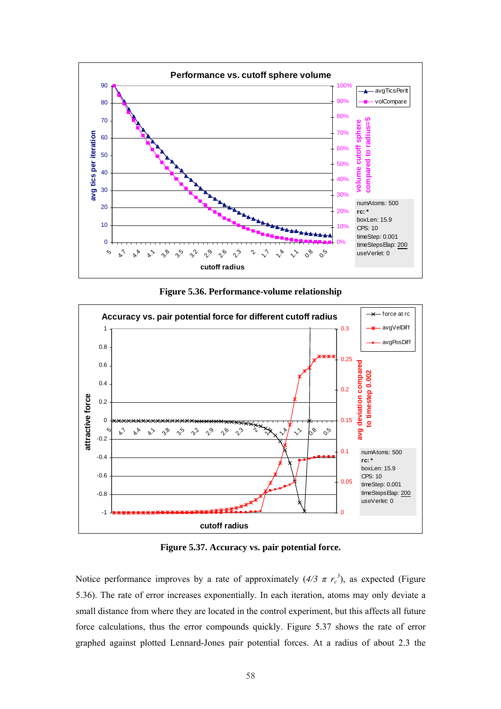

<span id="page-66-0"></span>**Figure 5.36. Performance-volume relationship** 



<span id="page-66-1"></span>**Figure 5.37. Accuracy vs. pair potential force.** 

Notice performance improves by a rate of approximately  $(4/3 \pi r_c^3)$ , as expected (Figure [5.36\)](#page-66-0). The rate of error increases exponentially. In each iteration, atoms may only deviate a small distance from where they are located in the control experiment, but this affects all future force calculations, thus the error compounds quickly. [Figure 5.37](#page-66-1) shows the rate of error graphed against plotted Lennard-Jones pair potential forces. At a radius of about 2.3 the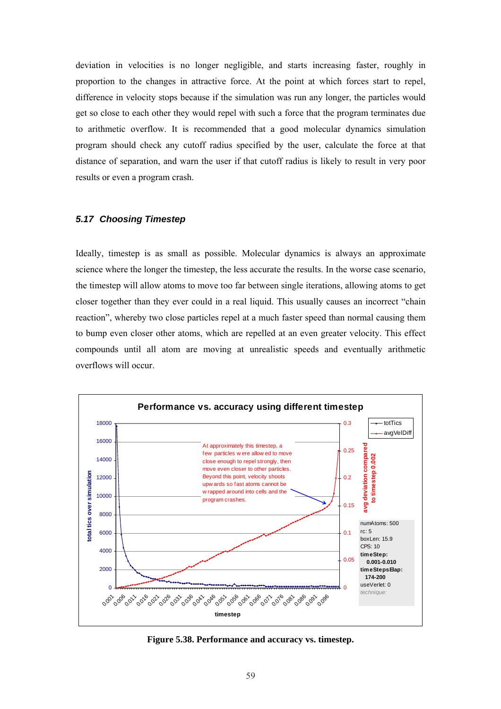deviation in velocities is no longer negligible, and starts increasing faster, roughly in proportion to the changes in attractive force. At the point at which forces start to repel, difference in velocity stops because if the simulation was run any longer, the particles would get so close to each other they would repel with such a force that the program terminates due to arithmetic overflow. It is recommended that a good molecular dynamics simulation program should check any cutoff radius specified by the user, calculate the force at that distance of separation, and warn the user if that cutoff radius is likely to result in very poor results or even a program crash.

## *5.17 Choosing Timestep*

Ideally, timestep is as small as possible. Molecular dynamics is always an approximate science where the longer the timestep, the less accurate the results. In the worse case scenario, the timestep will allow atoms to move too far between single iterations, allowing atoms to get closer together than they ever could in a real liquid. This usually causes an incorrect "chain reaction", whereby two close particles repel at a much faster speed than normal causing them to bump even closer other atoms, which are repelled at an even greater velocity. This effect compounds until all atom are moving at unrealistic speeds and eventually arithmetic overflows will occur.



<span id="page-67-0"></span>**Figure 5.38. Performance and accuracy vs. timestep.**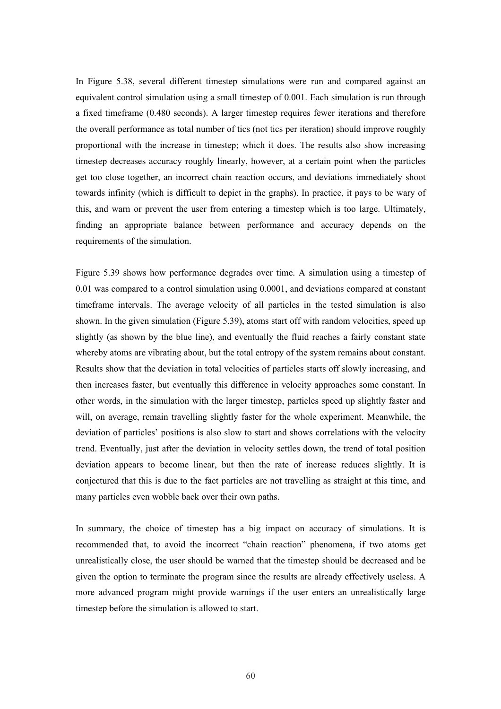In [Figure 5.38,](#page-67-0) several different timestep simulations were run and compared against an equivalent control simulation using a small timestep of 0.001. Each simulation is run through a fixed timeframe (0.480 seconds). A larger timestep requires fewer iterations and therefore the overall performance as total number of tics (not tics per iteration) should improve roughly proportional with the increase in timestep; which it does. The results also show increasing timestep decreases accuracy roughly linearly, however, at a certain point when the particles get too close together, an incorrect chain reaction occurs, and deviations immediately shoot towards infinity (which is difficult to depict in the graphs). In practice, it pays to be wary of this, and warn or prevent the user from entering a timestep which is too large. Ultimately, finding an appropriate balance between performance and accuracy depends on the requirements of the simulation.

[Figure 5.39](#page-69-0) shows how performance degrades over time. A simulation using a timestep of 0.01 was compared to a control simulation using 0.0001, and deviations compared at constant timeframe intervals. The average velocity of all particles in the tested simulation is also shown. In the given simulation ([Figure 5.39\)](#page-69-0), atoms start off with random velocities, speed up slightly (as shown by the blue line), and eventually the fluid reaches a fairly constant state whereby atoms are vibrating about, but the total entropy of the system remains about constant. Results show that the deviation in total velocities of particles starts off slowly increasing, and then increases faster, but eventually this difference in velocity approaches some constant. In other words, in the simulation with the larger timestep, particles speed up slightly faster and will, on average, remain travelling slightly faster for the whole experiment. Meanwhile, the deviation of particles' positions is also slow to start and shows correlations with the velocity trend. Eventually, just after the deviation in velocity settles down, the trend of total position deviation appears to become linear, but then the rate of increase reduces slightly. It is conjectured that this is due to the fact particles are not travelling as straight at this time, and many particles even wobble back over their own paths.

In summary, the choice of timestep has a big impact on accuracy of simulations. It is recommended that, to avoid the incorrect "chain reaction" phenomena, if two atoms get unrealistically close, the user should be warned that the timestep should be decreased and be given the option to terminate the program since the results are already effectively useless. A more advanced program might provide warnings if the user enters an unrealistically large timestep before the simulation is allowed to start.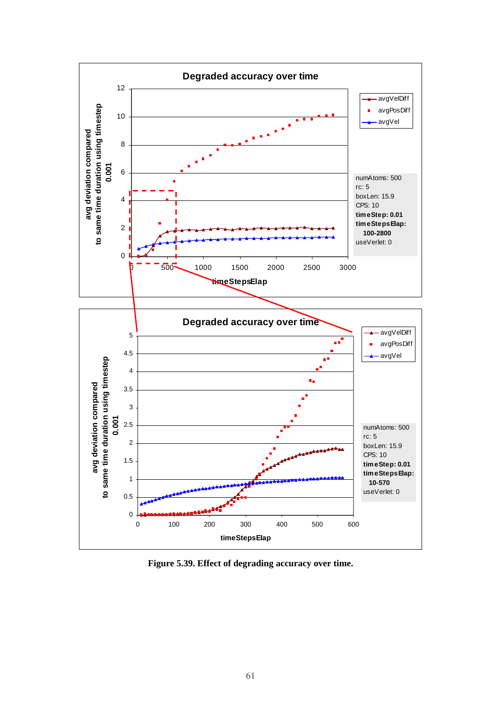

<span id="page-69-0"></span>**Figure 5.39. Effect of degrading accuracy over time.**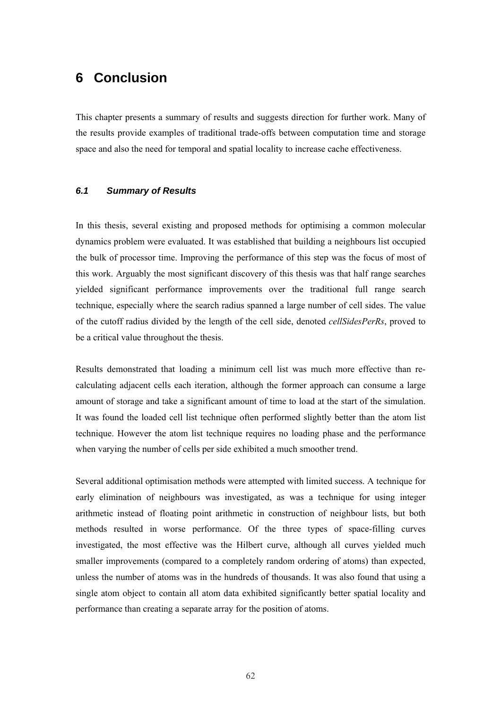# **6 Conclusion**

This chapter presents a summary of results and suggests direction for further work. Many of the results provide examples of traditional trade-offs between computation time and storage space and also the need for temporal and spatial locality to increase cache effectiveness.

## *6.1 Summary of Results*

In this thesis, several existing and proposed methods for optimising a common molecular dynamics problem were evaluated. It was established that building a neighbours list occupied the bulk of processor time. Improving the performance of this step was the focus of most of this work. Arguably the most significant discovery of this thesis was that half range searches yielded significant performance improvements over the traditional full range search technique, especially where the search radius spanned a large number of cell sides. The value of the cutoff radius divided by the length of the cell side, denoted *cellSidesPerRs*, proved to be a critical value throughout the thesis.

Results demonstrated that loading a minimum cell list was much more effective than recalculating adjacent cells each iteration, although the former approach can consume a large amount of storage and take a significant amount of time to load at the start of the simulation. It was found the loaded cell list technique often performed slightly better than the atom list technique. However the atom list technique requires no loading phase and the performance when varying the number of cells per side exhibited a much smoother trend.

Several additional optimisation methods were attempted with limited success. A technique for early elimination of neighbours was investigated, as was a technique for using integer arithmetic instead of floating point arithmetic in construction of neighbour lists, but both methods resulted in worse performance. Of the three types of space-filling curves investigated, the most effective was the Hilbert curve, although all curves yielded much smaller improvements (compared to a completely random ordering of atoms) than expected, unless the number of atoms was in the hundreds of thousands. It was also found that using a single atom object to contain all atom data exhibited significantly better spatial locality and performance than creating a separate array for the position of atoms.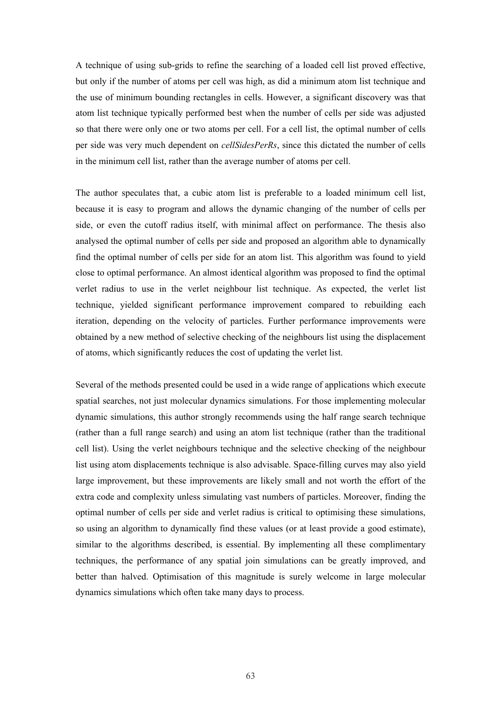A technique of using sub-grids to refine the searching of a loaded cell list proved effective, but only if the number of atoms per cell was high, as did a minimum atom list technique and the use of minimum bounding rectangles in cells. However, a significant discovery was that atom list technique typically performed best when the number of cells per side was adjusted so that there were only one or two atoms per cell. For a cell list, the optimal number of cells per side was very much dependent on *cellSidesPerRs*, since this dictated the number of cells in the minimum cell list, rather than the average number of atoms per cell.

The author speculates that, a cubic atom list is preferable to a loaded minimum cell list, because it is easy to program and allows the dynamic changing of the number of cells per side, or even the cutoff radius itself, with minimal affect on performance. The thesis also analysed the optimal number of cells per side and proposed an algorithm able to dynamically find the optimal number of cells per side for an atom list. This algorithm was found to yield close to optimal performance. An almost identical algorithm was proposed to find the optimal verlet radius to use in the verlet neighbour list technique. As expected, the verlet list technique, yielded significant performance improvement compared to rebuilding each iteration, depending on the velocity of particles. Further performance improvements were obtained by a new method of selective checking of the neighbours list using the displacement of atoms, which significantly reduces the cost of updating the verlet list.

Several of the methods presented could be used in a wide range of applications which execute spatial searches, not just molecular dynamics simulations. For those implementing molecular dynamic simulations, this author strongly recommends using the half range search technique (rather than a full range search) and using an atom list technique (rather than the traditional cell list). Using the verlet neighbours technique and the selective checking of the neighbour list using atom displacements technique is also advisable. Space-filling curves may also yield large improvement, but these improvements are likely small and not worth the effort of the extra code and complexity unless simulating vast numbers of particles. Moreover, finding the optimal number of cells per side and verlet radius is critical to optimising these simulations, so using an algorithm to dynamically find these values (or at least provide a good estimate), similar to the algorithms described, is essential. By implementing all these complimentary techniques, the performance of any spatial join simulations can be greatly improved, and better than halved. Optimisation of this magnitude is surely welcome in large molecular dynamics simulations which often take many days to process.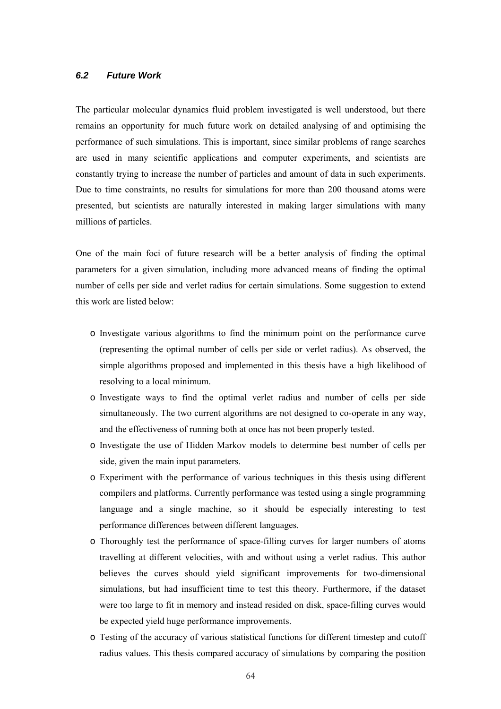#### *6.2 Future Work*

The particular molecular dynamics fluid problem investigated is well understood, but there remains an opportunity for much future work on detailed analysing of and optimising the performance of such simulations. This is important, since similar problems of range searches are used in many scientific applications and computer experiments, and scientists are constantly trying to increase the number of particles and amount of data in such experiments. Due to time constraints, no results for simulations for more than 200 thousand atoms were presented, but scientists are naturally interested in making larger simulations with many millions of particles.

One of the main foci of future research will be a better analysis of finding the optimal parameters for a given simulation, including more advanced means of finding the optimal number of cells per side and verlet radius for certain simulations. Some suggestion to extend this work are listed below:

- o Investigate various algorithms to find the minimum point on the performance curve (representing the optimal number of cells per side or verlet radius). As observed, the simple algorithms proposed and implemented in this thesis have a high likelihood of resolving to a local minimum.
- o Investigate ways to find the optimal verlet radius and number of cells per side simultaneously. The two current algorithms are not designed to co-operate in any way, and the effectiveness of running both at once has not been properly tested.
- o Investigate the use of Hidden Markov models to determine best number of cells per side, given the main input parameters.
- o Experiment with the performance of various techniques in this thesis using different compilers and platforms. Currently performance was tested using a single programming language and a single machine, so it should be especially interesting to test performance differences between different languages.
- o Thoroughly test the performance of space-filling curves for larger numbers of atoms travelling at different velocities, with and without using a verlet radius. This author believes the curves should yield significant improvements for two-dimensional simulations, but had insufficient time to test this theory. Furthermore, if the dataset were too large to fit in memory and instead resided on disk, space-filling curves would be expected yield huge performance improvements.
- o Testing of the accuracy of various statistical functions for different timestep and cutoff radius values. This thesis compared accuracy of simulations by comparing the position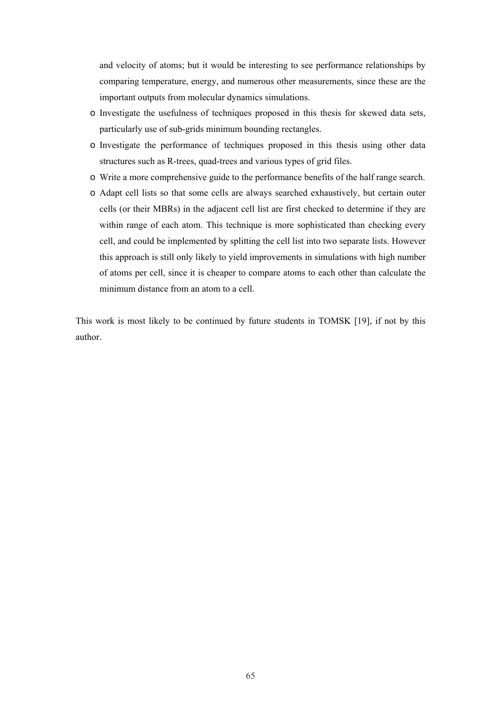and velocity of atoms; but it would be interesting to see performance relationships by comparing temperature, energy, and numerous other measurements, since these are the important outputs from molecular dynamics simulations.

- o Investigate the usefulness of techniques proposed in this thesis for skewed data sets, particularly use of sub-grids minimum bounding rectangles.
- o Investigate the performance of techniques proposed in this thesis using other data structures such as R-trees, quad-trees and various types of grid files.
- o Write a more comprehensive guide to the performance benefits of the half range search.
- o Adapt cell lists so that some cells are always searched exhaustively, but certain outer cells (or their MBRs) in the adjacent cell list are first checked to determine if they are within range of each atom. This technique is more sophisticated than checking every cell, and could be implemented by splitting the cell list into two separate lists. However this approach is still only likely to yield improvements in simulations with high number of atoms per cell, since it is cheaper to compare atoms to each other than calculate the minimum distance from an atom to a cell.

This work is most likely to be continued by future students in TOMSK [19], if not by this author.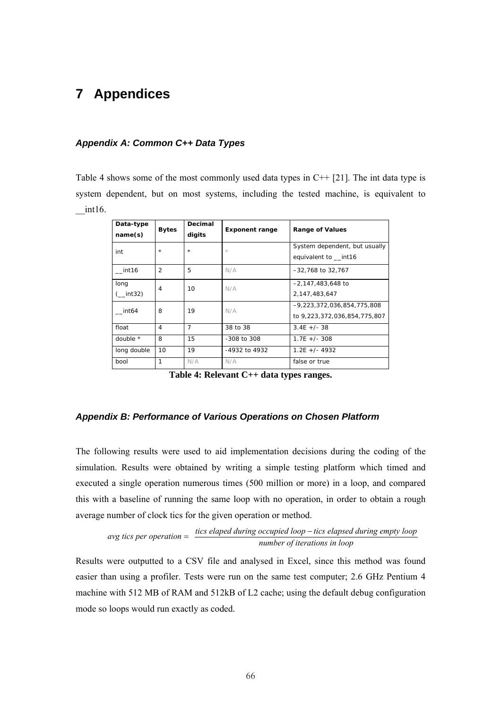## **7 Appendices**

#### *Appendix A: Common C++ Data Types*

[Table 4](#page-74-0) shows some of the most commonly used data types in  $C++$  [21]. The int data type is system dependent, but on most systems, including the tested machine, is equivalent to  $int16.$ 

| Data-type<br>name(s) | <b>Bytes</b>   | Decimal<br>digits | <b>Exponent range</b> | <b>Range of Values</b>                                     |
|----------------------|----------------|-------------------|-----------------------|------------------------------------------------------------|
| int                  | $\star$        | $\star$           | $\star$               | System dependent, but usually<br>equivalent to int16       |
| int <sub>16</sub>    | $\overline{2}$ | 5                 | N/A                   | -32,768 to 32,767                                          |
| long<br>int32)       | 4              | 10 <sup>1</sup>   | N/A                   | $-2.147.483.648$ to<br>2,147,483,647                       |
| int <sub>64</sub>    | 8              | 19                | N/A                   | -9,223,372,036,854,775,808<br>to 9,223,372,036,854,775,807 |
| float                | 4              | $\overline{7}$    | 38 to 38              | $3.4E +/- 38$                                              |
| double $*$           | 8              | 15                | $-308$ to $308$       | $1.7F +/- 308$                                             |
| long double          | 10             | 19                | -4932 to 4932         | $1.2F + (-49.32)$                                          |
| bool                 | 1              | N/A               | N/A                   | false or true                                              |

<span id="page-74-0"></span>**Table 4: Relevant C++ data types ranges.** 

#### *Appendix B: Performance of Various Operations on Chosen Platform*

The following results were used to aid implementation decisions during the coding of the simulation. Results were obtained by writing a simple testing platform which timed and executed a single operation numerous times (500 million or more) in a loop, and compared this with a baseline of running the same loop with no operation, in order to obtain a rough average number of clock tics for the given operation or method.

$$
avg tics per operation = \frac{tics elapsed during occupied loop - tics elapsed during empty loop}{number of iterations in loop}
$$

Results were outputted to a CSV file and analysed in Excel, since this method was found easier than using a profiler. Tests were run on the same test computer; 2.6 GHz Pentium 4 machine with 512 MB of RAM and 512kB of L2 cache; using the default debug configuration mode so loops would run exactly as coded.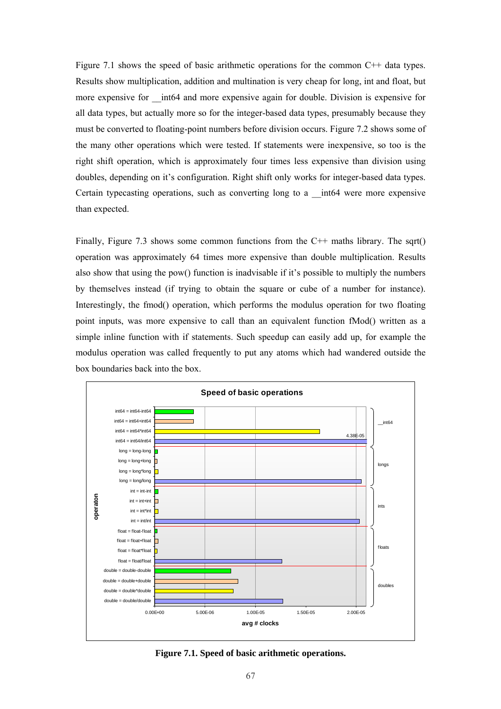[Figure 7.1](#page-75-0) shows the speed of basic arithmetic operations for the common C++ data types. Results show multiplication, addition and multination is very cheap for long, int and float, but more expensive for \_\_int64 and more expensive again for double. Division is expensive for all data types, but actually more so for the integer-based data types, presumably because they must be converted to floating-point numbers before division occurs. [Figure 7.2](#page-76-0) shows some of the many other operations which were tested. If statements were inexpensive, so too is the right shift operation, which is approximately four times less expensive than division using doubles, depending on it's configuration. Right shift only works for integer-based data types. Certain typecasting operations, such as converting long to a \_\_int64 were more expensive than expected.

Finally, [Figure 7.3](#page-76-1) shows some common functions from the  $C++$  maths library. The sqrt() operation was approximately 64 times more expensive than double multiplication. Results also show that using the pow() function is inadvisable if it's possible to multiply the numbers by themselves instead (if trying to obtain the square or cube of a number for instance). Interestingly, the fmod() operation, which performs the modulus operation for two floating point inputs, was more expensive to call than an equivalent function fMod() written as a simple inline function with if statements. Such speedup can easily add up, for example the modulus operation was called frequently to put any atoms which had wandered outside the box boundaries back into the box.



<span id="page-75-0"></span>**Figure 7.1. Speed of basic arithmetic operations.**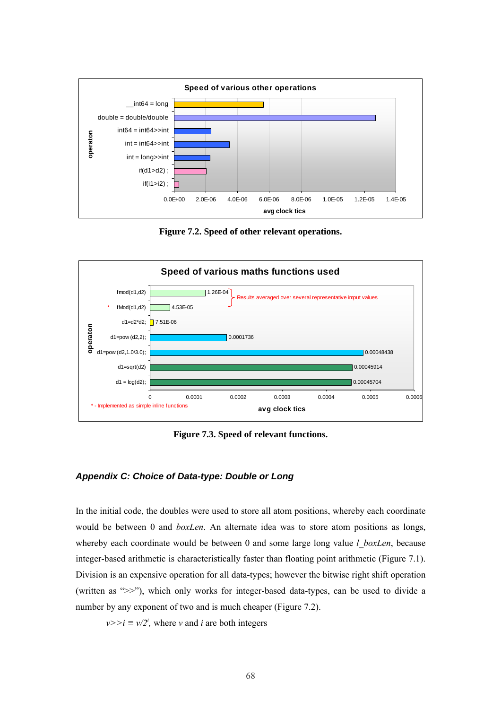

<span id="page-76-0"></span>**Figure 7.2. Speed of other relevant operations.** 



<span id="page-76-1"></span>**Figure 7.3. Speed of relevant functions.** 

#### *Appendix C: Choice of Data-type: Double or Long*

In the initial code, the doubles were used to store all atom positions, whereby each coordinate would be between 0 and *boxLen*. An alternate idea was to store atom positions as longs, whereby each coordinate would be between 0 and some large long value *l boxLen*, because integer-based arithmetic is characteristically faster than floating point arithmetic [\(Figure 7.1\)](#page-75-0). Division is an expensive operation for all data-types; however the bitwise right shift operation (written as ">>"), which only works for integer-based data-types, can be used to divide a number by any exponent of two and is much cheaper ([Figure 7.2\)](#page-76-0).

 $v \ge i \equiv v/2^i$ , where *v* and *i* are both integers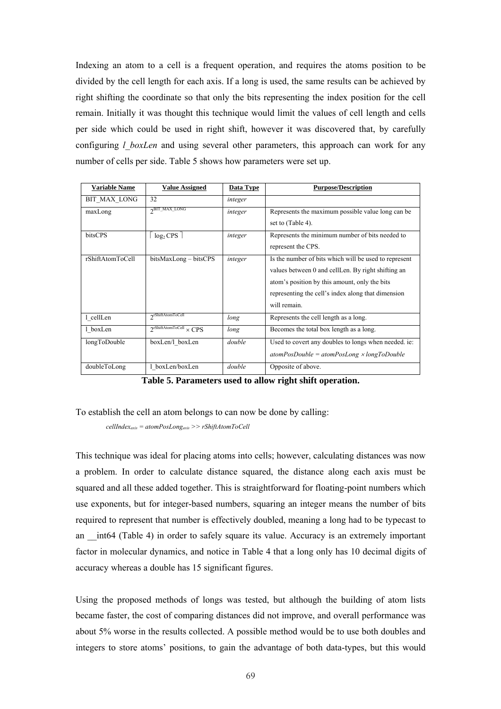Indexing an atom to a cell is a frequent operation, and requires the atoms position to be divided by the cell length for each axis. If a long is used, the same results can be achieved by right shifting the coordinate so that only the bits representing the index position for the cell remain. Initially it was thought this technique would limit the values of cell length and cells per side which could be used in right shift, however it was discovered that, by carefully configuring *l* boxLen and using several other parameters, this approach can work for any number of cells per side. [Table 5](#page-77-0) shows how parameters were set up.

| <b>Variable Name</b> | <b>Value Assigned</b>                           | Data Type | <b>Purpose/Description</b>                                                                                                                                                                                                         |
|----------------------|-------------------------------------------------|-----------|------------------------------------------------------------------------------------------------------------------------------------------------------------------------------------------------------------------------------------|
| BIT MAX LONG         | 32                                              | integer   |                                                                                                                                                                                                                                    |
| maxLong              | $2$ BIT_MAX_LONG                                | integer   | Represents the maximum possible value long can be<br>set to (Table 4).                                                                                                                                                             |
| bitsCPS              | $log2$ CPS                                      | integer   | Represents the minimum number of bits needed to<br>represent the CPS.                                                                                                                                                              |
| rShiftAtomToCell     | bitsMaxLong – bitsCPS                           | integer   | Is the number of bits which will be used to represent<br>values between 0 and cellLen. By right shifting an<br>atom's position by this amount, only the bits<br>representing the cell's index along that dimension<br>will remain. |
| 1 cellLen            | orShiftAtomToCell                               | long      | Represents the cell length as a long.                                                                                                                                                                                              |
| 1 boxLen             | $2^{\text{rShiftAtomToCell}} \times \text{CPS}$ | long      | Becomes the total box length as a long.                                                                                                                                                                                            |
| longToDouble         | boxLen/l boxLen                                 | double    | Used to covert any doubles to longs when needed. ie:<br>$atomPosDouble = atomPosLong \times longToDouble$                                                                                                                          |
| doubleToLong         | 1 boxLen/boxLen                                 | double    | Opposite of above.                                                                                                                                                                                                                 |

<span id="page-77-0"></span>**Table 5. Parameters used to allow right shift operation.** 

To establish the cell an atom belongs to can now be done by calling:

*cellIndexaxis = atomPosLongaxis >> rShiftAtomToCell*

This technique was ideal for placing atoms into cells; however, calculating distances was now a problem. In order to calculate distance squared, the distance along each axis must be squared and all these added together. This is straightforward for floating-point numbers which use exponents, but for integer-based numbers, squaring an integer means the number of bits required to represent that number is effectively doubled, meaning a long had to be typecast to an int64 ([Table 4\)](#page-74-0) in order to safely square its value. Accuracy is an extremely important factor in molecular dynamics, and notice in [Table 4](#page-74-0) that a long only has 10 decimal digits of accuracy whereas a double has 15 significant figures.

Using the proposed methods of longs was tested, but although the building of atom lists became faster, the cost of comparing distances did not improve, and overall performance was about 5% worse in the results collected. A possible method would be to use both doubles and integers to store atoms' positions, to gain the advantage of both data-types, but this would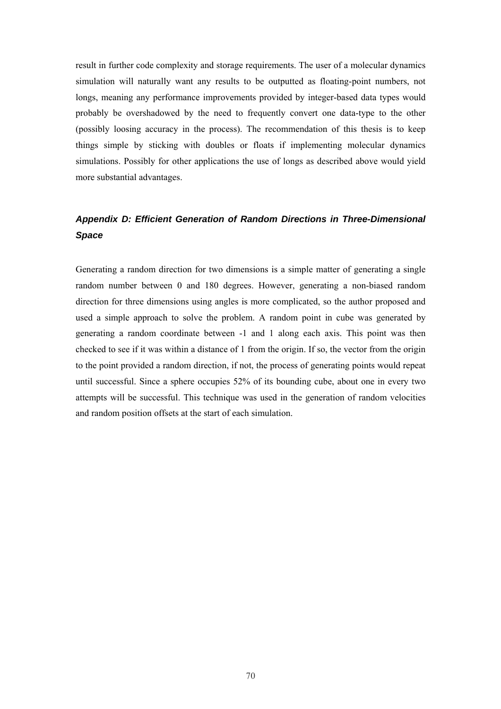result in further code complexity and storage requirements. The user of a molecular dynamics simulation will naturally want any results to be outputted as floating-point numbers, not longs, meaning any performance improvements provided by integer-based data types would probably be overshadowed by the need to frequently convert one data-type to the other (possibly loosing accuracy in the process). The recommendation of this thesis is to keep things simple by sticking with doubles or floats if implementing molecular dynamics simulations. Possibly for other applications the use of longs as described above would yield more substantial advantages.

### *Appendix D: Efficient Generation of Random Directions in Three-Dimensional Space*

Generating a random direction for two dimensions is a simple matter of generating a single random number between 0 and 180 degrees. However, generating a non-biased random direction for three dimensions using angles is more complicated, so the author proposed and used a simple approach to solve the problem. A random point in cube was generated by generating a random coordinate between -1 and 1 along each axis. This point was then checked to see if it was within a distance of 1 from the origin. If so, the vector from the origin to the point provided a random direction, if not, the process of generating points would repeat until successful. Since a sphere occupies 52% of its bounding cube, about one in every two attempts will be successful. This technique was used in the generation of random velocities and random position offsets at the start of each simulation.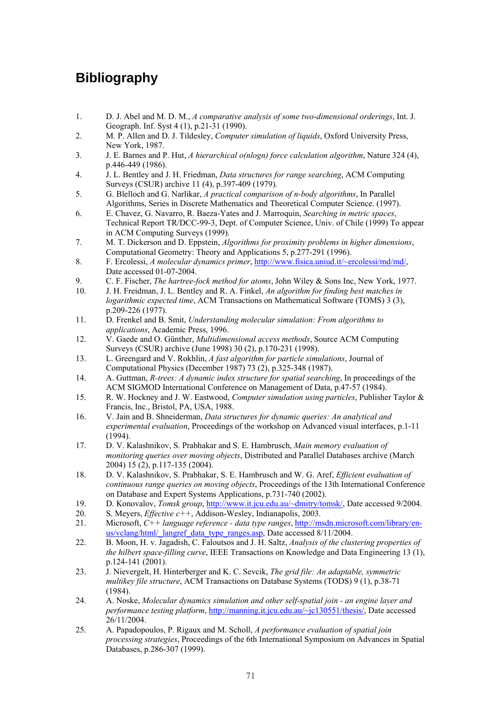# **Bibliography**

- 1. D. J. Abel and M. D. M., *A comparative analysis of some two-dimensional orderings*, Int. J. Geograph. Inf. Syst 4 (1), p.21-31 (1990).
- 2. M. P. Allen and D. J. Tildesley, *Computer simulation of liquids*, Oxford University Press, New York, 1987.
- 3. J. E. Barnes and P. Hut, *A hierarchical o(nlogn) force calculation algorithm*, Nature 324 (4), p.446-449 (1986).
- 4. J. L. Bentley and J. H. Friedman, *Data structures for range searching*, ACM Computing Surveys (CSUR) archive 11 (4), p.397-409 (1979).
- 5. G. Blelloch and G. Narlikar, *A practical comparison of n-body algorithms*, In Parallel Algorithms, Series in Discrete Mathematics and Theoretical Computer Science. (1997).
- 6. E. Chavez, G. Navarro, R. Baeza-Yates and J. Marroquin, *Searching in metric spaces*, Technical Report TR/DCC-99-3, Dept. of Computer Science, Univ. of Chile (1999) To appear in ACM Computing Surveys (1999).
- 7. M. T. Dickerson and D. Eppstein, *Algorithms for proximity problems in higher dimensions*, Computational Geometry: Theory and Applications 5, p.277-291 (1996).
- 8. F. Ercolessi, *A molecular dynamics primer*, [http://www.fisica.uniud.it/~ercolessi/md/md/,](http://www.fisica.uniud.it/~ercolessi/md/md/)  Date accessed 01-07-2004.
- 9. C. F. Fischer, *The hartree-fock method for atoms*, John Wiley & Sons Inc, New York, 1977.
- 10. J. H. Freidman, J. L. Bentley and R. A. Finkel, *An algorithm for finding best matches in logarithmic expected time*, ACM Transactions on Mathematical Software (TOMS) 3 (3), p.209-226 (1977).
- 11. D. Frenkel and B. Smit, *Understanding molecular simulation: From algorithms to applications*, Academic Press, 1996.
- 12. V. Gaede and O. Günther, *Multidimensional access methods*, Source ACM Computing Surveys (CSUR) archive (June 1998) 30 (2), p.170-231 (1998).
- 13. L. Greengard and V. Rokhlin, *A fast algorithm for particle simulations*, Journal of Computational Physics (December 1987) 73 (2), p.325-348 (1987).
- 14. A. Guttman, *R-trees: A dynamic index structure for spatial searching*, In proceedings of the ACM SIGMOD International Conference on Management of Data, p.47-57 (1984).
- 15. R. W. Hockney and J. W. Eastwood, *Computer simulation using particles*, Publisher Taylor & Francis, Inc., Bristol, PA, USA, 1988.
- 16. V. Jain and B. Shneiderman, *Data structures for dynamic queries: An analytical and experimental evaluation*, Proceedings of the workshop on Advanced visual interfaces, p.1-11 (1994).
- 17. D. V. Kalashnikov, S. Prabhakar and S. E. Hambrusch, *Main memory evaluation of monitoring queries over moving objects*, Distributed and Parallel Databases archive (March 2004) 15 (2), p.117-135 (2004).
- 18. D. V. Kalashnikov, S. Prabhakar, S. E. Hambrusch and W. G. Aref, *Efficient evaluation of continuous range queries on moving objects*, Proceedings of the 13th International Conference on Database and Expert Systems Applications, p.731-740 (2002).
- 19. D. Konovalov, *Tomsk group*, [http://www.it.jcu.edu.au/~dmitry/tomsk/,](http://www.it.jcu.edu.au/~dmitry/tomsk/) Date accessed 9/2004.
- 20. S. Meyers, *Effective c++*, Addison-Wesley, Indianapolis, 2003.
- 21. Microsoft, *C++ language reference data type ranges*, [http://msdn.microsoft.com/library/en](http://msdn.microsoft.com/library/en-us/vclang/html/_langref_data_type_ranges.asp)us/vclang/html/ langref data type ranges.asp, Date accessed 8/11/2004.
- 22. B. Moon, H. v. Jagadish, C. Faloutsos and J. H. Saltz, *Analysis of the clustering properties of the hilbert space-filling curve*, IEEE Transactions on Knowledge and Data Engineering 13 (1), p.124-141 (2001).
- 23. J. Nievergelt, H. Hinterberger and K. C. Sevcik, *The grid file: An adaptable, symmetric multikey file structure*, ACM Transactions on Database Systems (TODS) 9 (1), p.38-71 (1984).
- 24. A. Noske, *Molecular dynamics simulation and other self-spatial join an engine layer and performance testing platform*, [http://manning.it.jcu.edu.au/~jc130551/thesis/,](http://manning.it.jcu.edu.au/~jc130551/thesis/) Date accessed 26/11/2004.
- 25. A. Papadopoulos, P. Rigaux and M. Scholl, *A performance evaluation of spatial join processing strategies*, Proceedings of the 6th International Symposium on Advances in Spatial Databases, p.286-307 (1999).